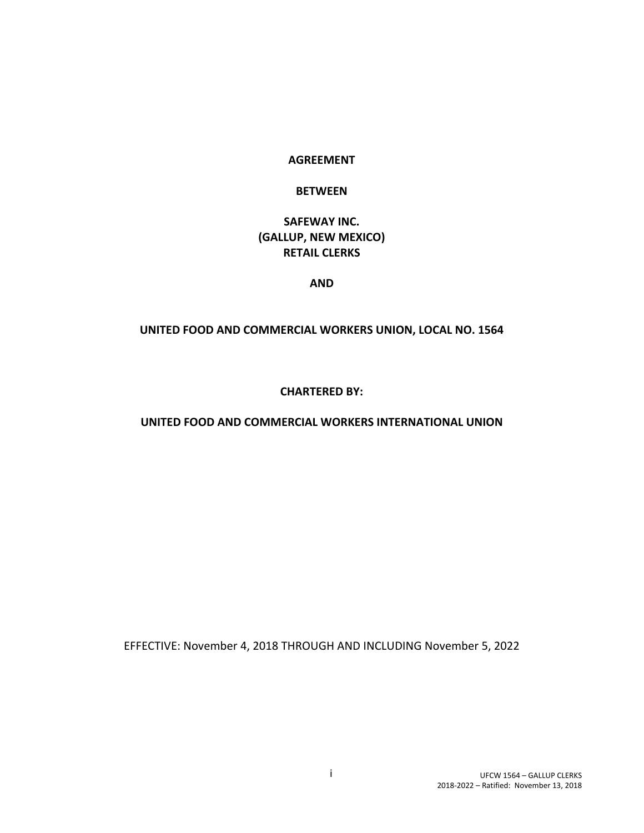#### **AGREEMENT**

#### **BETWEEN**

### **SAFEWAY INC. (GALLUP, NEW MEXICO) RETAIL CLERKS**

#### **AND**

#### **UNITED FOOD AND COMMERCIAL WORKERS UNION, LOCAL NO. 1564**

#### **CHARTERED BY:**

#### **UNITED FOOD AND COMMERCIAL WORKERS INTERNATIONAL UNION**

EFFECTIVE: November 4, 2018 THROUGH AND INCLUDING November 5, 2022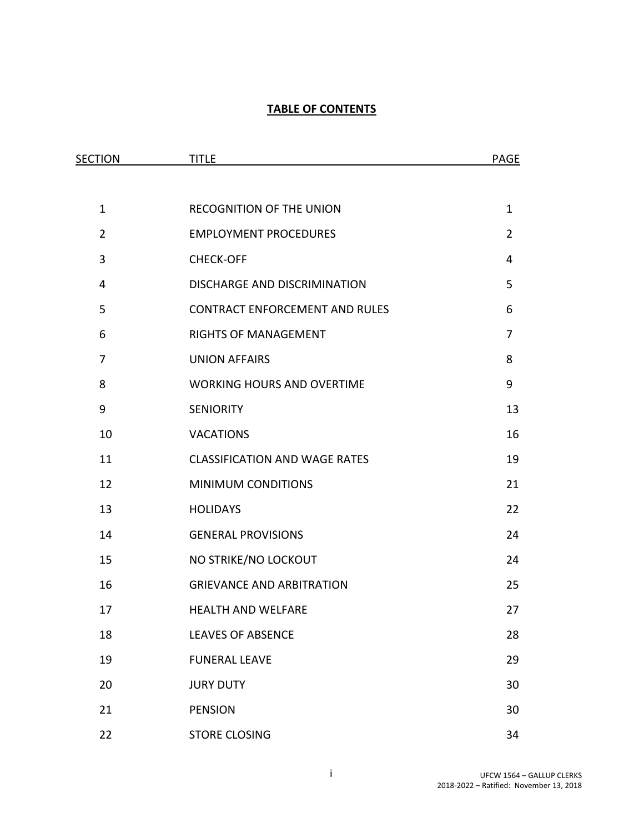### **TABLE OF CONTENTS**

| <b>SECTION</b> | <b>TITLE</b>                          | <b>PAGE</b>    |
|----------------|---------------------------------------|----------------|
|                |                                       |                |
| $\mathbf{1}$   | RECOGNITION OF THE UNION              | $\mathbf{1}$   |
| $\overline{2}$ | <b>EMPLOYMENT PROCEDURES</b>          | $\overline{2}$ |
| $\mathbf{3}$   | <b>CHECK-OFF</b>                      | 4              |
| 4              | DISCHARGE AND DISCRIMINATION          | 5              |
| 5              | <b>CONTRACT ENFORCEMENT AND RULES</b> | 6              |
| 6              | RIGHTS OF MANAGEMENT                  | $\overline{7}$ |
| $\overline{7}$ | <b>UNION AFFAIRS</b>                  | 8              |
| 8              | <b>WORKING HOURS AND OVERTIME</b>     | 9              |
| 9              | <b>SENIORITY</b>                      | 13             |
| 10             | <b>VACATIONS</b>                      | 16             |
| 11             | <b>CLASSIFICATION AND WAGE RATES</b>  | 19             |
| 12             | <b>MINIMUM CONDITIONS</b>             | 21             |
| 13             | <b>HOLIDAYS</b>                       | 22             |
| 14             | <b>GENERAL PROVISIONS</b>             | 24             |
| 15             | NO STRIKE/NO LOCKOUT                  | 24             |
| 16             | <b>GRIEVANCE AND ARBITRATION</b>      | 25             |
| 17             | <b>HEALTH AND WELFARE</b>             | 27             |
| 18             | <b>LEAVES OF ABSENCE</b>              | 28             |
| 19             | <b>FUNERAL LEAVE</b>                  | 29             |
| 20             | <b>JURY DUTY</b>                      | 30             |
| 21             | <b>PENSION</b>                        | 30             |
| 22             | <b>STORE CLOSING</b>                  | 34             |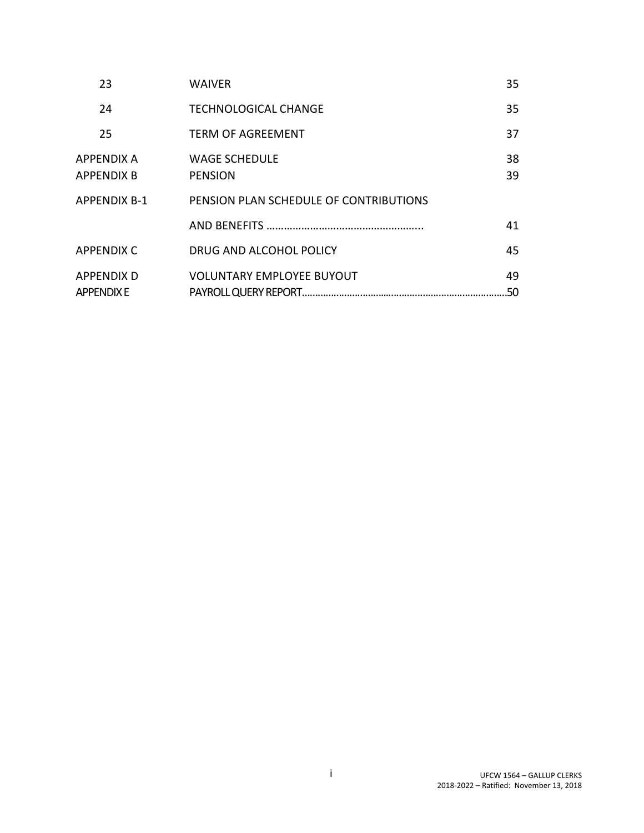| 23                              | <b>WAIVER</b>                          | 35       |
|---------------------------------|----------------------------------------|----------|
| 24                              | <b>TECHNOLOGICAL CHANGE</b>            | 35       |
| 25                              | <b>TERM OF AGREEMENT</b>               | 37       |
| <b>APPENDIX A</b><br>APPENDIX B | <b>WAGE SCHEDULE</b><br><b>PENSION</b> | 38<br>39 |
| <b>APPFNDIX B-1</b>             | PENSION PLAN SCHEDULE OF CONTRIBUTIONS |          |
|                                 |                                        | 41       |
| APPFNDIX C                      | DRUG AND ALCOHOL POLICY                | 45       |
| APPFNDIX D<br><b>APPENDIX E</b> | <b>VOLUNTARY EMPLOYEE BUYOUT</b>       | 49       |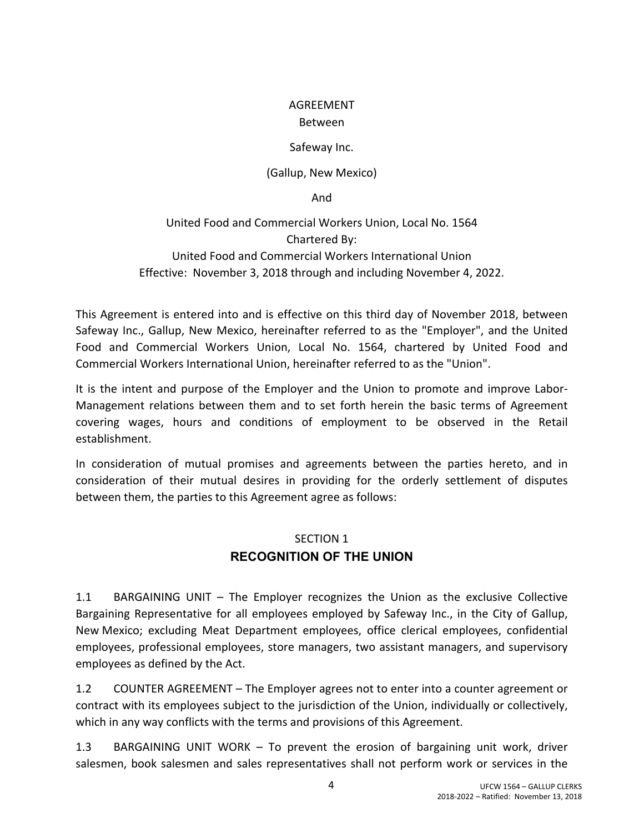### AGREEMENT

### Between

### Safeway Inc.

(Gallup, New Mexico)

And

United Food and Commercial Workers Union, Local No. 1564 Chartered By:

United Food and Commercial Workers International Union Effective: November 3, 2018 through and including November 4, 2022.

This Agreement is entered into and is effective on this third day of November 2018, between Safeway Inc., Gallup, New Mexico, hereinafter referred to as the "Employer", and the United Food and Commercial Workers Union, Local No. 1564, chartered by United Food and Commercial Workers International Union, hereinafter referred to as the "Union".

It is the intent and purpose of the Employer and the Union to promote and improve Labor-Management relations between them and to set forth herein the basic terms of Agreement covering wages, hours and conditions of employment to be observed in the Retail establishment.

In consideration of mutual promises and agreements between the parties hereto, and in consideration of their mutual desires in providing for the orderly settlement of disputes between them, the parties to this Agreement agree as follows:

## SECTION 1 **RECOGNITION OF THE UNION**

1.1 BARGAINING UNIT – The Employer recognizes the Union as the exclusive Collective Bargaining Representative for all employees employed by Safeway Inc., in the City of Gallup, New Mexico; excluding Meat Department employees, office clerical employees, confidential employees, professional employees, store managers, two assistant managers, and supervisory employees as defined by the Act.

1.2 COUNTER AGREEMENT – The Employer agrees not to enter into a counter agreement or contract with its employees subject to the jurisdiction of the Union, individually or collectively, which in any way conflicts with the terms and provisions of this Agreement.

1.3 BARGAINING UNIT WORK – To prevent the erosion of bargaining unit work, driver salesmen, book salesmen and sales representatives shall not perform work or services in the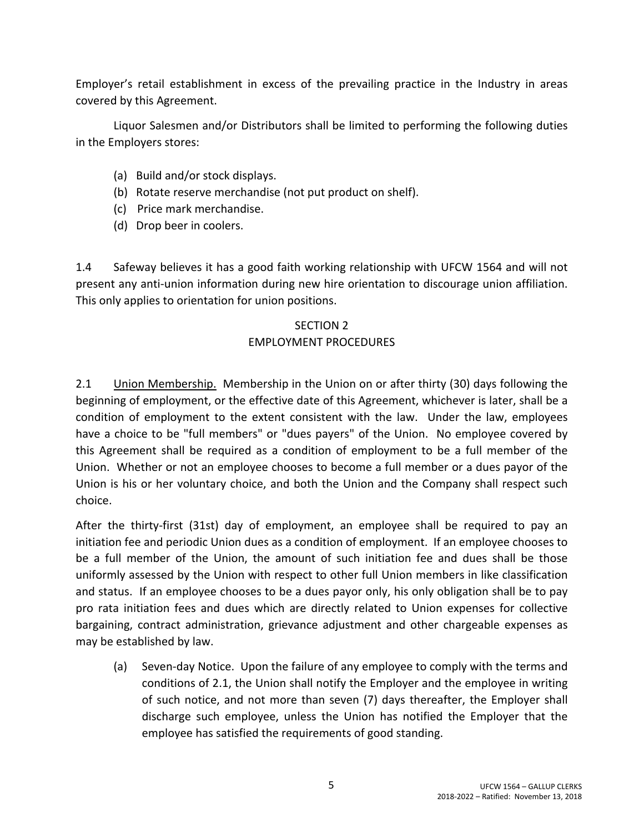Employer's retail establishment in excess of the prevailing practice in the Industry in areas covered by this Agreement.

Liquor Salesmen and/or Distributors shall be limited to performing the following duties in the Employers stores:

- (a) Build and/or stock displays.
- (b) Rotate reserve merchandise (not put product on shelf).
- (c) Price mark merchandise.
- (d) Drop beer in coolers.

1.4 Safeway believes it has a good faith working relationship with UFCW 1564 and will not present any anti-union information during new hire orientation to discourage union affiliation. This only applies to orientation for union positions.

## SECTION 2

### EMPLOYMENT PROCEDURES

2.1 Union Membership. Membership in the Union on or after thirty (30) days following the beginning of employment, or the effective date of this Agreement, whichever is later, shall be a condition of employment to the extent consistent with the law. Under the law, employees have a choice to be "full members" or "dues payers" of the Union. No employee covered by this Agreement shall be required as a condition of employment to be a full member of the Union. Whether or not an employee chooses to become a full member or a dues payor of the Union is his or her voluntary choice, and both the Union and the Company shall respect such choice.

After the thirty-first (31st) day of employment, an employee shall be required to pay an initiation fee and periodic Union dues as a condition of employment. If an employee chooses to be a full member of the Union, the amount of such initiation fee and dues shall be those uniformly assessed by the Union with respect to other full Union members in like classification and status. If an employee chooses to be a dues payor only, his only obligation shall be to pay pro rata initiation fees and dues which are directly related to Union expenses for collective bargaining, contract administration, grievance adjustment and other chargeable expenses as may be established by law.

(a) Seven-day Notice. Upon the failure of any employee to comply with the terms and conditions of 2.1, the Union shall notify the Employer and the employee in writing of such notice, and not more than seven (7) days thereafter, the Employer shall discharge such employee, unless the Union has notified the Employer that the employee has satisfied the requirements of good standing.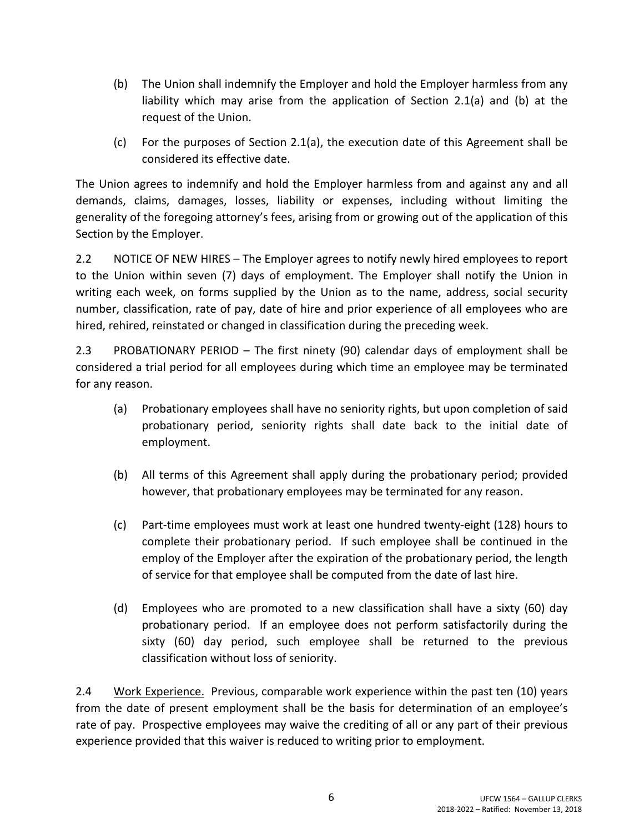- (b) The Union shall indemnify the Employer and hold the Employer harmless from any liability which may arise from the application of Section 2.1(a) and (b) at the request of the Union.
- (c) For the purposes of Section 2.1(a), the execution date of this Agreement shall be considered its effective date.

The Union agrees to indemnify and hold the Employer harmless from and against any and all demands, claims, damages, losses, liability or expenses, including without limiting the generality of the foregoing attorney's fees, arising from or growing out of the application of this Section by the Employer.

2.2 NOTICE OF NEW HIRES – The Employer agrees to notify newly hired employees to report to the Union within seven (7) days of employment. The Employer shall notify the Union in writing each week, on forms supplied by the Union as to the name, address, social security number, classification, rate of pay, date of hire and prior experience of all employees who are hired, rehired, reinstated or changed in classification during the preceding week.

2.3 PROBATIONARY PERIOD – The first ninety (90) calendar days of employment shall be considered a trial period for all employees during which time an employee may be terminated for any reason.

- (a) Probationary employees shall have no seniority rights, but upon completion of said probationary period, seniority rights shall date back to the initial date of employment.
- (b) All terms of this Agreement shall apply during the probationary period; provided however, that probationary employees may be terminated for any reason.
- (c) Part-time employees must work at least one hundred twenty-eight (128) hours to complete their probationary period. If such employee shall be continued in the employ of the Employer after the expiration of the probationary period, the length of service for that employee shall be computed from the date of last hire.
- (d) Employees who are promoted to a new classification shall have a sixty (60) day probationary period. If an employee does not perform satisfactorily during the sixty (60) day period, such employee shall be returned to the previous classification without loss of seniority.

2.4 Work Experience. Previous, comparable work experience within the past ten (10) years from the date of present employment shall be the basis for determination of an employee's rate of pay. Prospective employees may waive the crediting of all or any part of their previous experience provided that this waiver is reduced to writing prior to employment.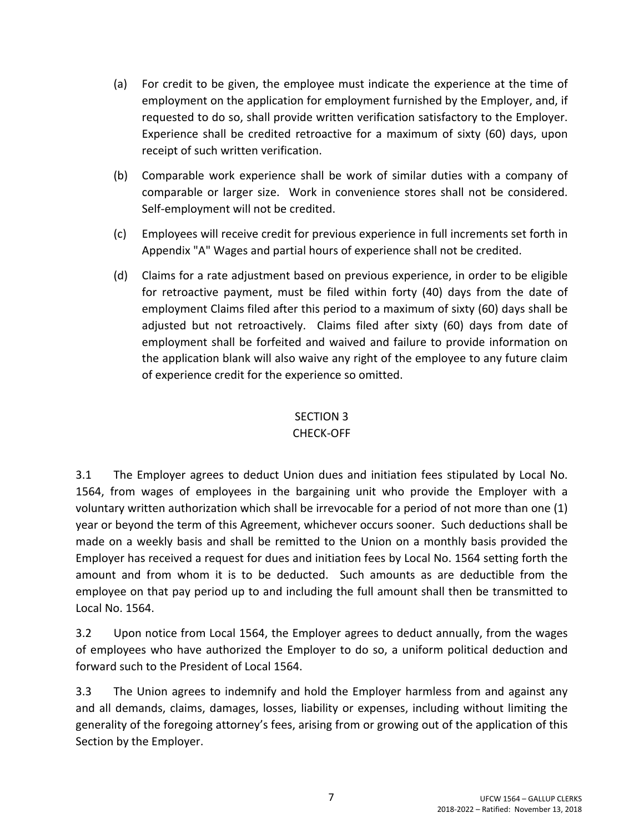- (a) For credit to be given, the employee must indicate the experience at the time of employment on the application for employment furnished by the Employer, and, if requested to do so, shall provide written verification satisfactory to the Employer. Experience shall be credited retroactive for a maximum of sixty (60) days, upon receipt of such written verification.
- (b) Comparable work experience shall be work of similar duties with a company of comparable or larger size. Work in convenience stores shall not be considered. Self-employment will not be credited.
- (c) Employees will receive credit for previous experience in full increments set forth in Appendix "A" Wages and partial hours of experience shall not be credited.
- (d) Claims for a rate adjustment based on previous experience, in order to be eligible for retroactive payment, must be filed within forty (40) days from the date of employment Claims filed after this period to a maximum of sixty (60) days shall be adjusted but not retroactively. Claims filed after sixty (60) days from date of employment shall be forfeited and waived and failure to provide information on the application blank will also waive any right of the employee to any future claim of experience credit for the experience so omitted.

## SECTION 3

### CHECK-OFF

3.1 The Employer agrees to deduct Union dues and initiation fees stipulated by Local No. 1564, from wages of employees in the bargaining unit who provide the Employer with a voluntary written authorization which shall be irrevocable for a period of not more than one (1) year or beyond the term of this Agreement, whichever occurs sooner. Such deductions shall be made on a weekly basis and shall be remitted to the Union on a monthly basis provided the Employer has received a request for dues and initiation fees by Local No. 1564 setting forth the amount and from whom it is to be deducted. Such amounts as are deductible from the employee on that pay period up to and including the full amount shall then be transmitted to Local No. 1564.

3.2 Upon notice from Local 1564, the Employer agrees to deduct annually, from the wages of employees who have authorized the Employer to do so, a uniform political deduction and forward such to the President of Local 1564.

3.3 The Union agrees to indemnify and hold the Employer harmless from and against any and all demands, claims, damages, losses, liability or expenses, including without limiting the generality of the foregoing attorney's fees, arising from or growing out of the application of this Section by the Employer.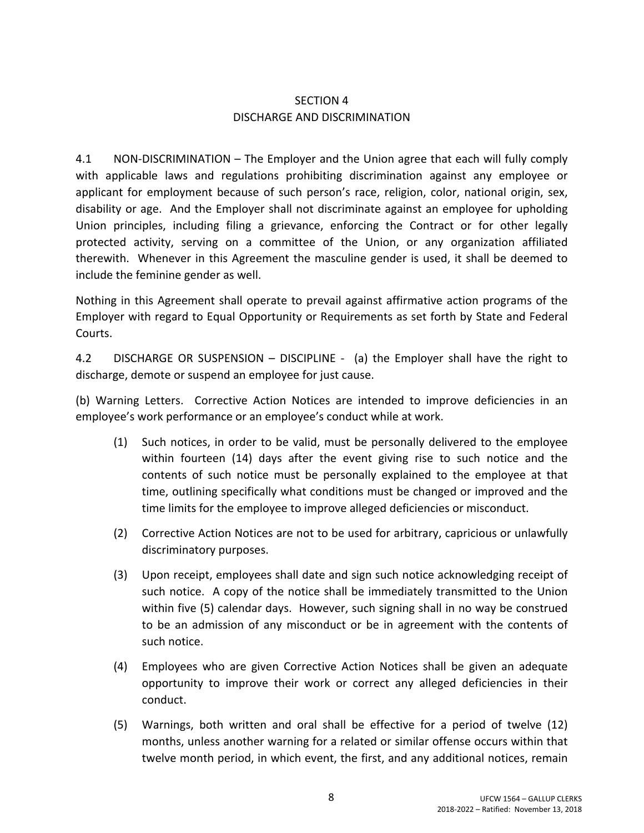## SECTION 4 DISCHARGE AND DISCRIMINATION

4.1 NON-DISCRIMINATION – The Employer and the Union agree that each will fully comply with applicable laws and regulations prohibiting discrimination against any employee or applicant for employment because of such person's race, religion, color, national origin, sex, disability or age. And the Employer shall not discriminate against an employee for upholding Union principles, including filing a grievance, enforcing the Contract or for other legally protected activity, serving on a committee of the Union, or any organization affiliated therewith. Whenever in this Agreement the masculine gender is used, it shall be deemed to include the feminine gender as well.

Nothing in this Agreement shall operate to prevail against affirmative action programs of the Employer with regard to Equal Opportunity or Requirements as set forth by State and Federal Courts.

4.2 DISCHARGE OR SUSPENSION – DISCIPLINE - (a) the Employer shall have the right to discharge, demote or suspend an employee for just cause.

(b) Warning Letters. Corrective Action Notices are intended to improve deficiencies in an employee's work performance or an employee's conduct while at work.

- (1) Such notices, in order to be valid, must be personally delivered to the employee within fourteen (14) days after the event giving rise to such notice and the contents of such notice must be personally explained to the employee at that time, outlining specifically what conditions must be changed or improved and the time limits for the employee to improve alleged deficiencies or misconduct.
- (2) Corrective Action Notices are not to be used for arbitrary, capricious or unlawfully discriminatory purposes.
- (3) Upon receipt, employees shall date and sign such notice acknowledging receipt of such notice. A copy of the notice shall be immediately transmitted to the Union within five (5) calendar days. However, such signing shall in no way be construed to be an admission of any misconduct or be in agreement with the contents of such notice.
- (4) Employees who are given Corrective Action Notices shall be given an adequate opportunity to improve their work or correct any alleged deficiencies in their conduct.
- (5) Warnings, both written and oral shall be effective for a period of twelve (12) months, unless another warning for a related or similar offense occurs within that twelve month period, in which event, the first, and any additional notices, remain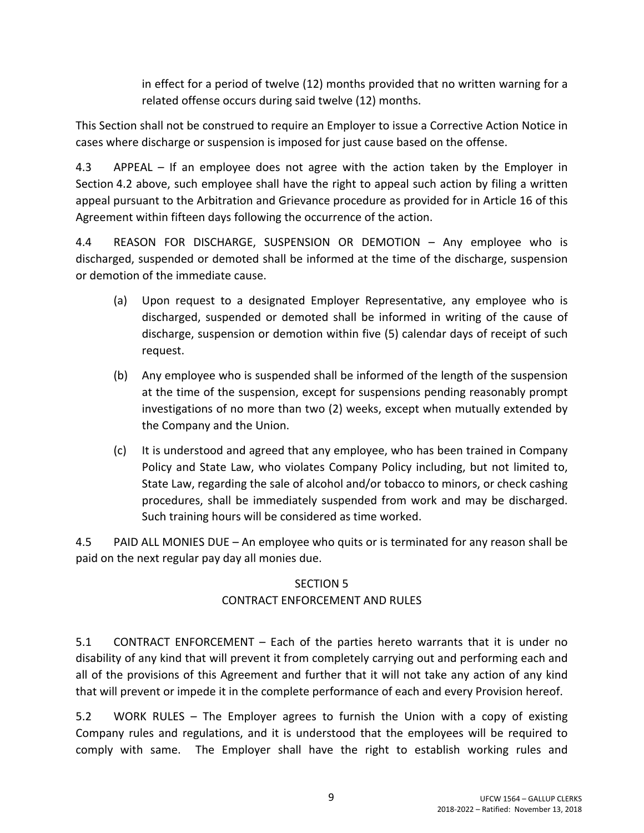in effect for a period of twelve (12) months provided that no written warning for a related offense occurs during said twelve (12) months.

This Section shall not be construed to require an Employer to issue a Corrective Action Notice in cases where discharge or suspension is imposed for just cause based on the offense.

4.3 APPEAL – If an employee does not agree with the action taken by the Employer in Section 4.2 above, such employee shall have the right to appeal such action by filing a written appeal pursuant to the Arbitration and Grievance procedure as provided for in Article 16 of this Agreement within fifteen days following the occurrence of the action.

4.4 REASON FOR DISCHARGE, SUSPENSION OR DEMOTION – Any employee who is discharged, suspended or demoted shall be informed at the time of the discharge, suspension or demotion of the immediate cause.

- (a) Upon request to a designated Employer Representative, any employee who is discharged, suspended or demoted shall be informed in writing of the cause of discharge, suspension or demotion within five (5) calendar days of receipt of such request.
- (b) Any employee who is suspended shall be informed of the length of the suspension at the time of the suspension, except for suspensions pending reasonably prompt investigations of no more than two (2) weeks, except when mutually extended by the Company and the Union.
- (c) It is understood and agreed that any employee, who has been trained in Company Policy and State Law, who violates Company Policy including, but not limited to, State Law, regarding the sale of alcohol and/or tobacco to minors, or check cashing procedures, shall be immediately suspended from work and may be discharged. Such training hours will be considered as time worked.

4.5 PAID ALL MONIES DUE – An employee who quits or is terminated for any reason shall be paid on the next regular pay day all monies due.

### SECTION 5

## CONTRACT ENFORCEMENT AND RULES

5.1 CONTRACT ENFORCEMENT – Each of the parties hereto warrants that it is under no disability of any kind that will prevent it from completely carrying out and performing each and all of the provisions of this Agreement and further that it will not take any action of any kind that will prevent or impede it in the complete performance of each and every Provision hereof.

5.2 WORK RULES – The Employer agrees to furnish the Union with a copy of existing Company rules and regulations, and it is understood that the employees will be required to comply with same. The Employer shall have the right to establish working rules and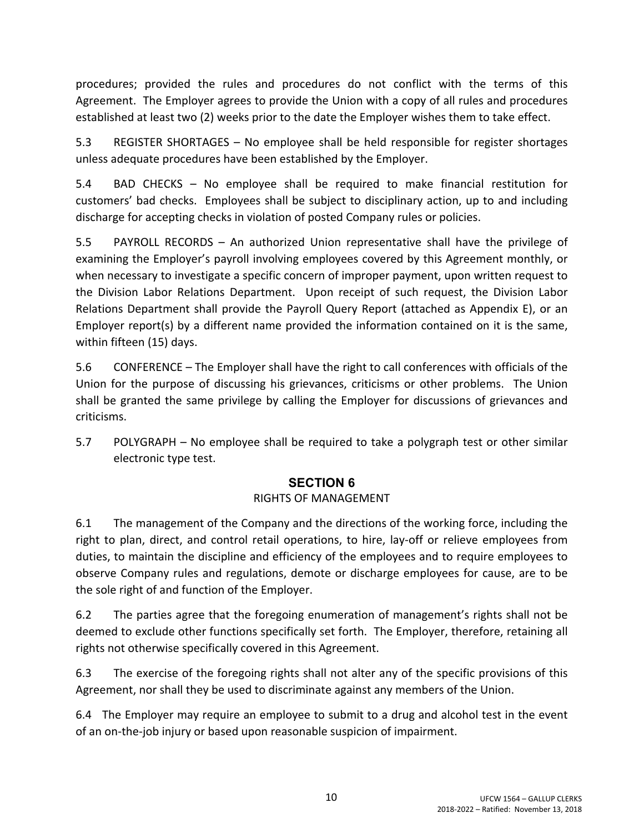procedures; provided the rules and procedures do not conflict with the terms of this Agreement. The Employer agrees to provide the Union with a copy of all rules and procedures established at least two (2) weeks prior to the date the Employer wishes them to take effect.

5.3 REGISTER SHORTAGES – No employee shall be held responsible for register shortages unless adequate procedures have been established by the Employer.

5.4 BAD CHECKS – No employee shall be required to make financial restitution for customers' bad checks. Employees shall be subject to disciplinary action, up to and including discharge for accepting checks in violation of posted Company rules or policies.

5.5 PAYROLL RECORDS – An authorized Union representative shall have the privilege of examining the Employer's payroll involving employees covered by this Agreement monthly, or when necessary to investigate a specific concern of improper payment, upon written request to the Division Labor Relations Department. Upon receipt of such request, the Division Labor Relations Department shall provide the Payroll Query Report (attached as Appendix E), or an Employer report(s) by a different name provided the information contained on it is the same, within fifteen (15) days.

5.6 CONFERENCE – The Employer shall have the right to call conferences with officials of the Union for the purpose of discussing his grievances, criticisms or other problems. The Union shall be granted the same privilege by calling the Employer for discussions of grievances and criticisms.

5.7 POLYGRAPH – No employee shall be required to take a polygraph test or other similar electronic type test.

## **SECTION 6**

## RIGHTS OF MANAGEMENT

6.1 The management of the Company and the directions of the working force, including the right to plan, direct, and control retail operations, to hire, lay-off or relieve employees from duties, to maintain the discipline and efficiency of the employees and to require employees to observe Company rules and regulations, demote or discharge employees for cause, are to be the sole right of and function of the Employer.

6.2 The parties agree that the foregoing enumeration of management's rights shall not be deemed to exclude other functions specifically set forth. The Employer, therefore, retaining all rights not otherwise specifically covered in this Agreement.

6.3 The exercise of the foregoing rights shall not alter any of the specific provisions of this Agreement, nor shall they be used to discriminate against any members of the Union.

6.4 The Employer may require an employee to submit to a drug and alcohol test in the event of an on-the-job injury or based upon reasonable suspicion of impairment.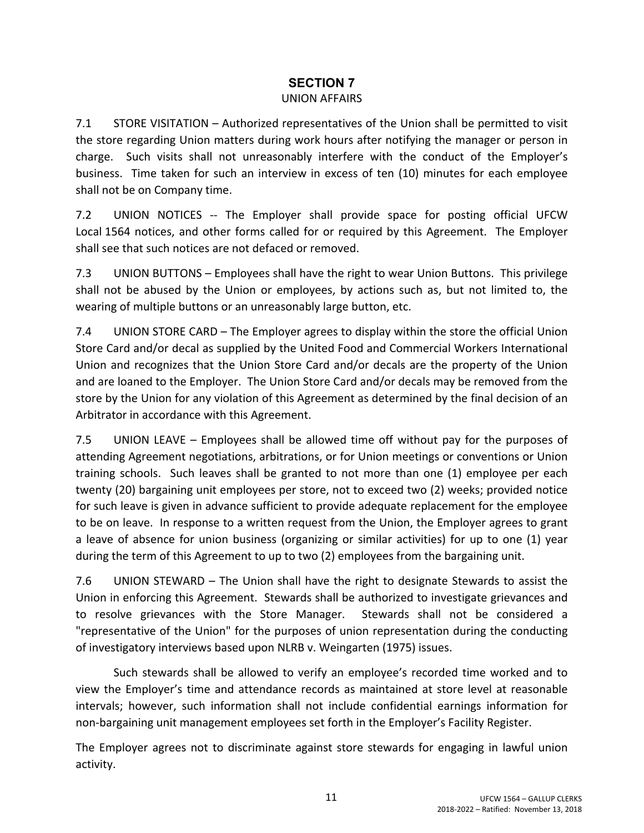### **SECTION 7** UNION AFFAIRS

7.1 STORE VISITATION – Authorized representatives of the Union shall be permitted to visit the store regarding Union matters during work hours after notifying the manager or person in charge. Such visits shall not unreasonably interfere with the conduct of the Employer's business. Time taken for such an interview in excess of ten (10) minutes for each employee shall not be on Company time.

7.2 UNION NOTICES -- The Employer shall provide space for posting official UFCW Local 1564 notices, and other forms called for or required by this Agreement. The Employer shall see that such notices are not defaced or removed.

7.3 UNION BUTTONS – Employees shall have the right to wear Union Buttons. This privilege shall not be abused by the Union or employees, by actions such as, but not limited to, the wearing of multiple buttons or an unreasonably large button, etc.

7.4 UNION STORE CARD – The Employer agrees to display within the store the official Union Store Card and/or decal as supplied by the United Food and Commercial Workers International Union and recognizes that the Union Store Card and/or decals are the property of the Union and are loaned to the Employer. The Union Store Card and/or decals may be removed from the store by the Union for any violation of this Agreement as determined by the final decision of an Arbitrator in accordance with this Agreement.

7.5 UNION LEAVE – Employees shall be allowed time off without pay for the purposes of attending Agreement negotiations, arbitrations, or for Union meetings or conventions or Union training schools. Such leaves shall be granted to not more than one (1) employee per each twenty (20) bargaining unit employees per store, not to exceed two (2) weeks; provided notice for such leave is given in advance sufficient to provide adequate replacement for the employee to be on leave. In response to a written request from the Union, the Employer agrees to grant a leave of absence for union business (organizing or similar activities) for up to one (1) year during the term of this Agreement to up to two (2) employees from the bargaining unit.

7.6 UNION STEWARD – The Union shall have the right to designate Stewards to assist the Union in enforcing this Agreement. Stewards shall be authorized to investigate grievances and to resolve grievances with the Store Manager. Stewards shall not be considered a "representative of the Union" for the purposes of union representation during the conducting of investigatory interviews based upon NLRB v. Weingarten (1975) issues.

Such stewards shall be allowed to verify an employee's recorded time worked and to view the Employer's time and attendance records as maintained at store level at reasonable intervals; however, such information shall not include confidential earnings information for non-bargaining unit management employees set forth in the Employer's Facility Register.

The Employer agrees not to discriminate against store stewards for engaging in lawful union activity.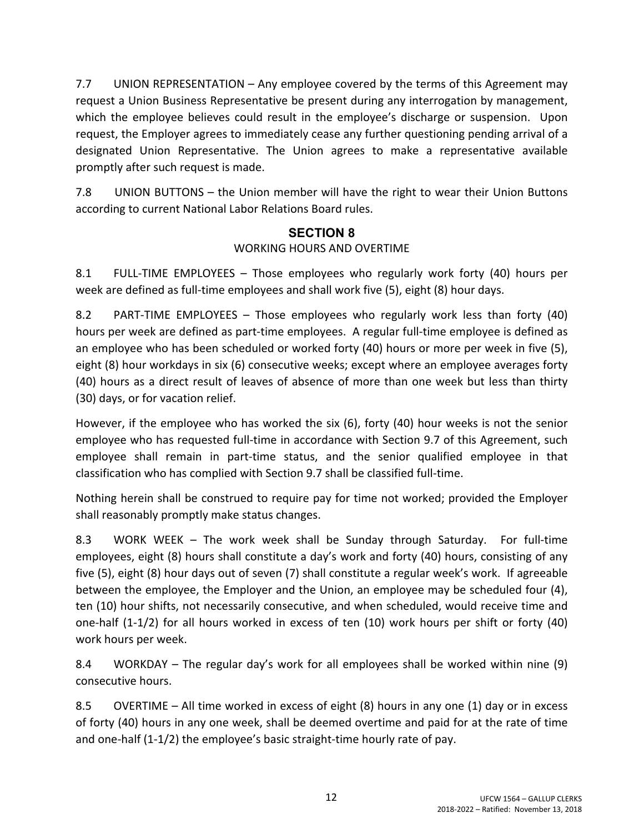7.7 UNION REPRESENTATION – Any employee covered by the terms of this Agreement may request a Union Business Representative be present during any interrogation by management, which the employee believes could result in the employee's discharge or suspension. Upon request, the Employer agrees to immediately cease any further questioning pending arrival of a designated Union Representative. The Union agrees to make a representative available promptly after such request is made.

7.8 UNION BUTTONS – the Union member will have the right to wear their Union Buttons according to current National Labor Relations Board rules.

## **SECTION 8** WORKING HOURS AND OVERTIME

8.1 FULL-TIME EMPLOYEES – Those employees who regularly work forty (40) hours per week are defined as full-time employees and shall work five (5), eight (8) hour days.

8.2 PART-TIME EMPLOYEES – Those employees who regularly work less than forty (40) hours per week are defined as part-time employees. A regular full-time employee is defined as an employee who has been scheduled or worked forty (40) hours or more per week in five (5), eight (8) hour workdays in six (6) consecutive weeks; except where an employee averages forty (40) hours as a direct result of leaves of absence of more than one week but less than thirty (30) days, or for vacation relief.

However, if the employee who has worked the six (6), forty (40) hour weeks is not the senior employee who has requested full-time in accordance with Section 9.7 of this Agreement, such employee shall remain in part-time status, and the senior qualified employee in that classification who has complied with Section 9.7 shall be classified full-time.

Nothing herein shall be construed to require pay for time not worked; provided the Employer shall reasonably promptly make status changes.

8.3 WORK WEEK – The work week shall be Sunday through Saturday. For full-time employees, eight (8) hours shall constitute a day's work and forty (40) hours, consisting of any five (5), eight (8) hour days out of seven (7) shall constitute a regular week's work. If agreeable between the employee, the Employer and the Union, an employee may be scheduled four (4), ten (10) hour shifts, not necessarily consecutive, and when scheduled, would receive time and one-half (1-1/2) for all hours worked in excess of ten (10) work hours per shift or forty (40) work hours per week.

8.4 WORKDAY – The regular day's work for all employees shall be worked within nine (9) consecutive hours.

8.5 OVERTIME – All time worked in excess of eight (8) hours in any one (1) day or in excess of forty (40) hours in any one week, shall be deemed overtime and paid for at the rate of time and one-half (1-1/2) the employee's basic straight-time hourly rate of pay.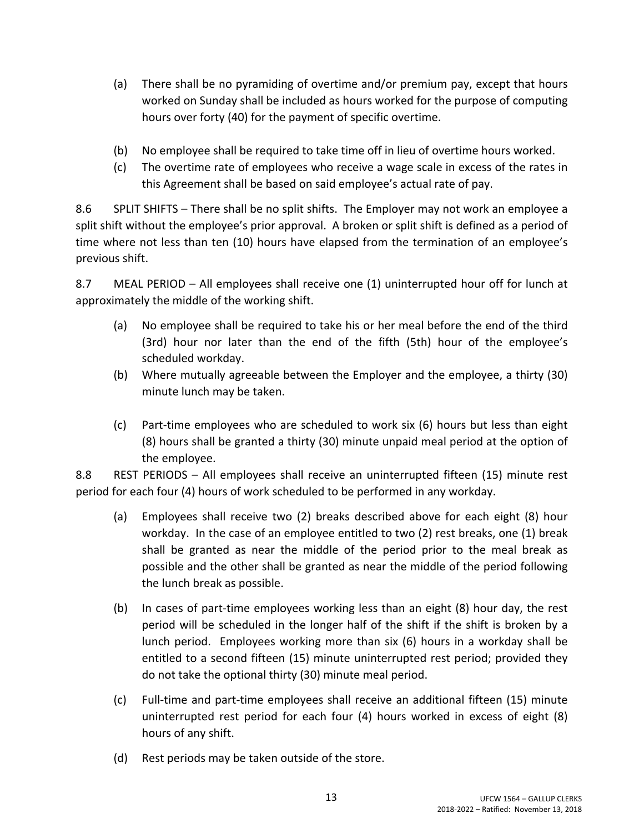- (a) There shall be no pyramiding of overtime and/or premium pay, except that hours worked on Sunday shall be included as hours worked for the purpose of computing hours over forty (40) for the payment of specific overtime.
- (b) No employee shall be required to take time off in lieu of overtime hours worked.
- (c) The overtime rate of employees who receive a wage scale in excess of the rates in this Agreement shall be based on said employee's actual rate of pay.

8.6 SPLIT SHIFTS – There shall be no split shifts. The Employer may not work an employee a split shift without the employee's prior approval. A broken or split shift is defined as a period of time where not less than ten (10) hours have elapsed from the termination of an employee's previous shift.

8.7 MEAL PERIOD – All employees shall receive one (1) uninterrupted hour off for lunch at approximately the middle of the working shift.

- (a) No employee shall be required to take his or her meal before the end of the third (3rd) hour nor later than the end of the fifth (5th) hour of the employee's scheduled workday.
- (b) Where mutually agreeable between the Employer and the employee, a thirty (30) minute lunch may be taken.
- (c) Part-time employees who are scheduled to work six (6) hours but less than eight (8) hours shall be granted a thirty (30) minute unpaid meal period at the option of the employee.

8.8 REST PERIODS – All employees shall receive an uninterrupted fifteen (15) minute rest period for each four (4) hours of work scheduled to be performed in any workday.

- (a) Employees shall receive two (2) breaks described above for each eight (8) hour workday. In the case of an employee entitled to two (2) rest breaks, one (1) break shall be granted as near the middle of the period prior to the meal break as possible and the other shall be granted as near the middle of the period following the lunch break as possible.
- (b) In cases of part-time employees working less than an eight (8) hour day, the rest period will be scheduled in the longer half of the shift if the shift is broken by a lunch period. Employees working more than six (6) hours in a workday shall be entitled to a second fifteen (15) minute uninterrupted rest period; provided they do not take the optional thirty (30) minute meal period.
- (c) Full-time and part-time employees shall receive an additional fifteen (15) minute uninterrupted rest period for each four (4) hours worked in excess of eight (8) hours of any shift.
- (d) Rest periods may be taken outside of the store.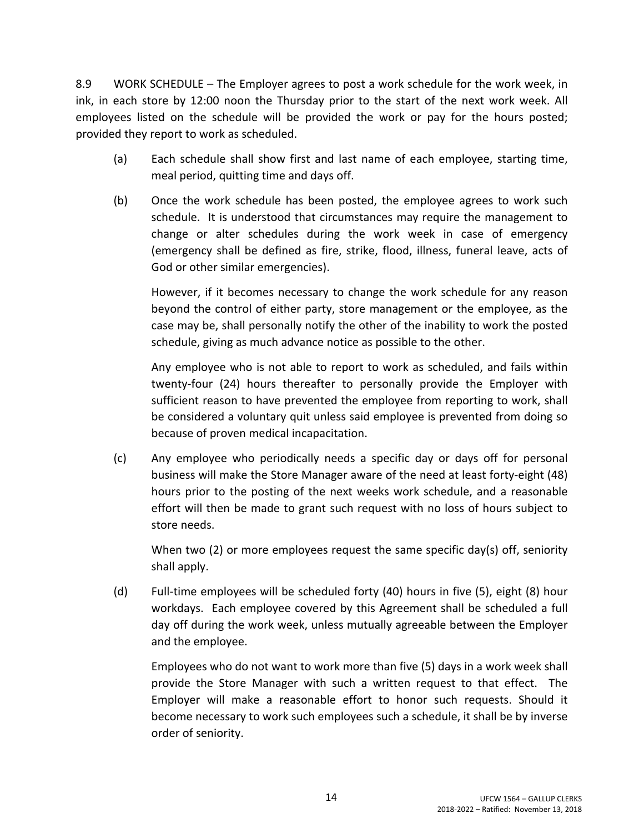8.9 WORK SCHEDULE – The Employer agrees to post a work schedule for the work week, in ink, in each store by 12:00 noon the Thursday prior to the start of the next work week. All employees listed on the schedule will be provided the work or pay for the hours posted; provided they report to work as scheduled.

- (a) Each schedule shall show first and last name of each employee, starting time, meal period, quitting time and days off.
- (b) Once the work schedule has been posted, the employee agrees to work such schedule. It is understood that circumstances may require the management to change or alter schedules during the work week in case of emergency (emergency shall be defined as fire, strike, flood, illness, funeral leave, acts of God or other similar emergencies).

However, if it becomes necessary to change the work schedule for any reason beyond the control of either party, store management or the employee, as the case may be, shall personally notify the other of the inability to work the posted schedule, giving as much advance notice as possible to the other.

Any employee who is not able to report to work as scheduled, and fails within twenty-four (24) hours thereafter to personally provide the Employer with sufficient reason to have prevented the employee from reporting to work, shall be considered a voluntary quit unless said employee is prevented from doing so because of proven medical incapacitation.

(c) Any employee who periodically needs a specific day or days off for personal business will make the Store Manager aware of the need at least forty-eight (48) hours prior to the posting of the next weeks work schedule, and a reasonable effort will then be made to grant such request with no loss of hours subject to store needs.

When two (2) or more employees request the same specific day(s) off, seniority shall apply.

(d) Full-time employees will be scheduled forty (40) hours in five (5), eight (8) hour workdays. Each employee covered by this Agreement shall be scheduled a full day off during the work week, unless mutually agreeable between the Employer and the employee.

Employees who do not want to work more than five (5) days in a work week shall provide the Store Manager with such a written request to that effect. The Employer will make a reasonable effort to honor such requests. Should it become necessary to work such employees such a schedule, it shall be by inverse order of seniority.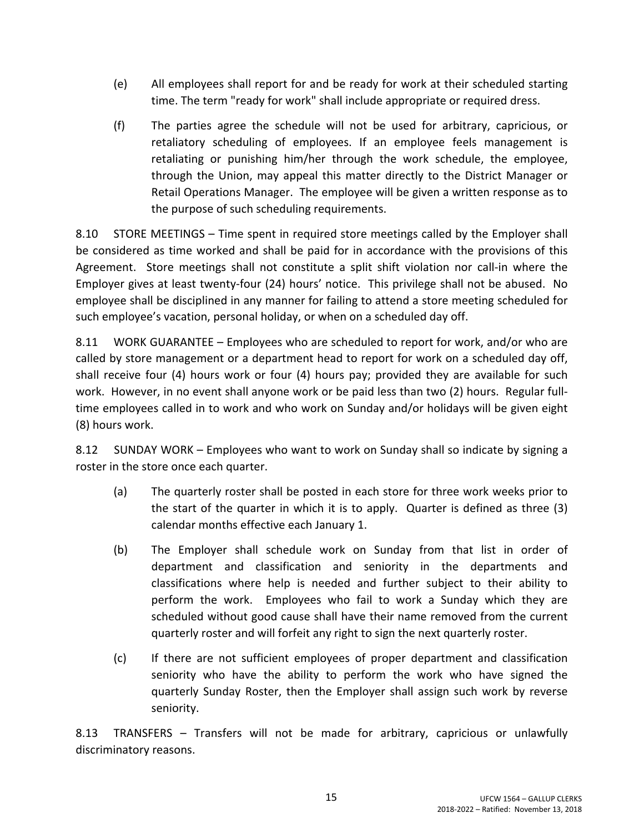- (e) All employees shall report for and be ready for work at their scheduled starting time. The term "ready for work" shall include appropriate or required dress.
- (f) The parties agree the schedule will not be used for arbitrary, capricious, or retaliatory scheduling of employees. If an employee feels management is retaliating or punishing him/her through the work schedule, the employee, through the Union, may appeal this matter directly to the District Manager or Retail Operations Manager. The employee will be given a written response as to the purpose of such scheduling requirements.

8.10 STORE MEETINGS – Time spent in required store meetings called by the Employer shall be considered as time worked and shall be paid for in accordance with the provisions of this Agreement. Store meetings shall not constitute a split shift violation nor call-in where the Employer gives at least twenty-four (24) hours' notice. This privilege shall not be abused. No employee shall be disciplined in any manner for failing to attend a store meeting scheduled for such employee's vacation, personal holiday, or when on a scheduled day off.

8.11 WORK GUARANTEE – Employees who are scheduled to report for work, and/or who are called by store management or a department head to report for work on a scheduled day off, shall receive four (4) hours work or four (4) hours pay; provided they are available for such work. However, in no event shall anyone work or be paid less than two (2) hours. Regular fulltime employees called in to work and who work on Sunday and/or holidays will be given eight (8) hours work.

8.12 SUNDAY WORK – Employees who want to work on Sunday shall so indicate by signing a roster in the store once each quarter.

- (a) The quarterly roster shall be posted in each store for three work weeks prior to the start of the quarter in which it is to apply. Quarter is defined as three (3) calendar months effective each January 1.
- (b) The Employer shall schedule work on Sunday from that list in order of department and classification and seniority in the departments and classifications where help is needed and further subject to their ability to perform the work. Employees who fail to work a Sunday which they are scheduled without good cause shall have their name removed from the current quarterly roster and will forfeit any right to sign the next quarterly roster.
- (c) If there are not sufficient employees of proper department and classification seniority who have the ability to perform the work who have signed the quarterly Sunday Roster, then the Employer shall assign such work by reverse seniority.

8.13 TRANSFERS – Transfers will not be made for arbitrary, capricious or unlawfully discriminatory reasons.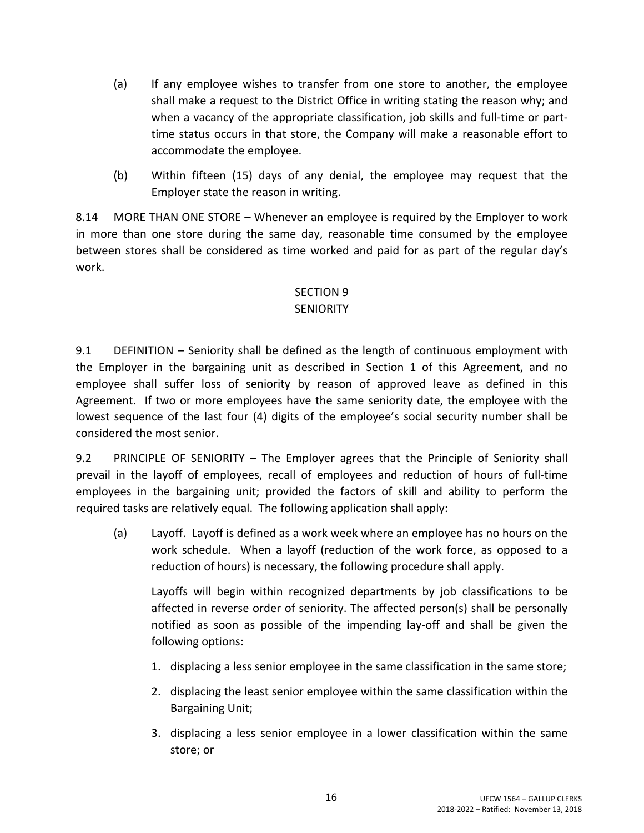- (a) If any employee wishes to transfer from one store to another, the employee shall make a request to the District Office in writing stating the reason why; and when a vacancy of the appropriate classification, job skills and full-time or parttime status occurs in that store, the Company will make a reasonable effort to accommodate the employee.
- (b) Within fifteen (15) days of any denial, the employee may request that the Employer state the reason in writing.

8.14 MORE THAN ONE STORE – Whenever an employee is required by the Employer to work in more than one store during the same day, reasonable time consumed by the employee between stores shall be considered as time worked and paid for as part of the regular day's work.

### SECTION 9 **SENIORITY**

9.1 DEFINITION – Seniority shall be defined as the length of continuous employment with the Employer in the bargaining unit as described in Section 1 of this Agreement, and no employee shall suffer loss of seniority by reason of approved leave as defined in this Agreement. If two or more employees have the same seniority date, the employee with the lowest sequence of the last four (4) digits of the employee's social security number shall be considered the most senior.

9.2 PRINCIPLE OF SENIORITY – The Employer agrees that the Principle of Seniority shall prevail in the layoff of employees, recall of employees and reduction of hours of full-time employees in the bargaining unit; provided the factors of skill and ability to perform the required tasks are relatively equal. The following application shall apply:

(a) Layoff. Layoff is defined as a work week where an employee has no hours on the work schedule. When a layoff (reduction of the work force, as opposed to a reduction of hours) is necessary, the following procedure shall apply.

Layoffs will begin within recognized departments by job classifications to be affected in reverse order of seniority. The affected person(s) shall be personally notified as soon as possible of the impending lay-off and shall be given the following options:

- 1. displacing a less senior employee in the same classification in the same store;
- 2. displacing the least senior employee within the same classification within the Bargaining Unit;
- 3. displacing a less senior employee in a lower classification within the same store; or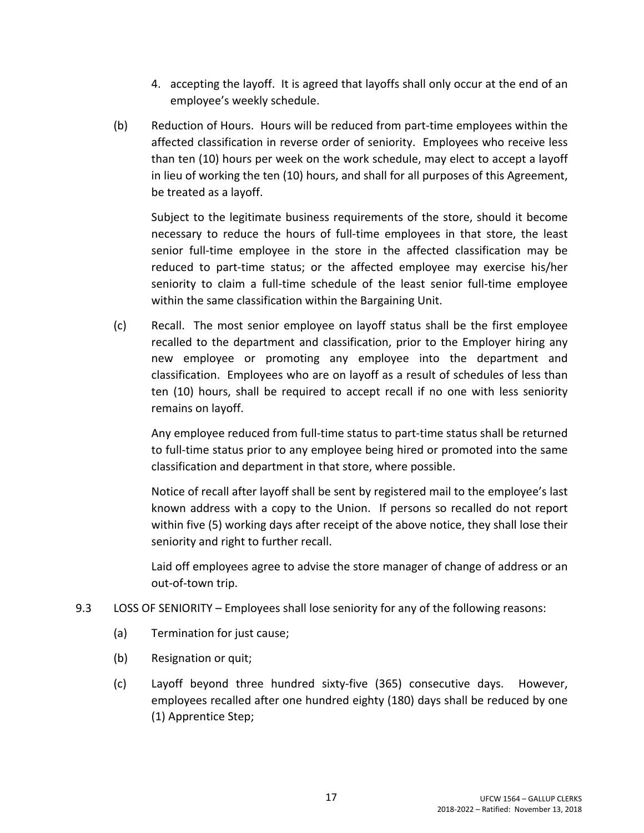- 4. accepting the layoff. It is agreed that layoffs shall only occur at the end of an employee's weekly schedule.
- (b) Reduction of Hours. Hours will be reduced from part-time employees within the affected classification in reverse order of seniority. Employees who receive less than ten (10) hours per week on the work schedule, may elect to accept a layoff in lieu of working the ten (10) hours, and shall for all purposes of this Agreement, be treated as a layoff.

Subject to the legitimate business requirements of the store, should it become necessary to reduce the hours of full-time employees in that store, the least senior full-time employee in the store in the affected classification may be reduced to part-time status; or the affected employee may exercise his/her seniority to claim a full-time schedule of the least senior full-time employee within the same classification within the Bargaining Unit.

(c) Recall. The most senior employee on layoff status shall be the first employee recalled to the department and classification, prior to the Employer hiring any new employee or promoting any employee into the department and classification. Employees who are on layoff as a result of schedules of less than ten (10) hours, shall be required to accept recall if no one with less seniority remains on layoff.

Any employee reduced from full-time status to part-time status shall be returned to full-time status prior to any employee being hired or promoted into the same classification and department in that store, where possible.

Notice of recall after layoff shall be sent by registered mail to the employee's last known address with a copy to the Union. If persons so recalled do not report within five (5) working days after receipt of the above notice, they shall lose their seniority and right to further recall.

Laid off employees agree to advise the store manager of change of address or an out-of-town trip.

- 9.3 LOSS OF SENIORITY Employees shall lose seniority for any of the following reasons:
	- (a) Termination for just cause;
	- (b) Resignation or quit;
	- (c) Layoff beyond three hundred sixty-five (365) consecutive days. However, employees recalled after one hundred eighty (180) days shall be reduced by one (1) Apprentice Step;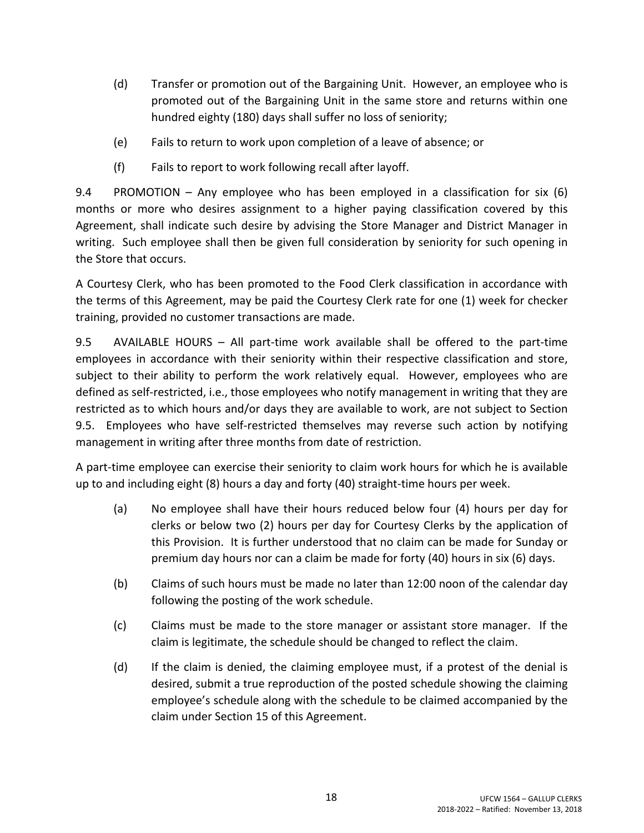- (d) Transfer or promotion out of the Bargaining Unit. However, an employee who is promoted out of the Bargaining Unit in the same store and returns within one hundred eighty (180) days shall suffer no loss of seniority;
- (e) Fails to return to work upon completion of a leave of absence; or
- (f) Fails to report to work following recall after layoff.

9.4 PROMOTION – Any employee who has been employed in a classification for six (6) months or more who desires assignment to a higher paying classification covered by this Agreement, shall indicate such desire by advising the Store Manager and District Manager in writing. Such employee shall then be given full consideration by seniority for such opening in the Store that occurs.

A Courtesy Clerk, who has been promoted to the Food Clerk classification in accordance with the terms of this Agreement, may be paid the Courtesy Clerk rate for one (1) week for checker training, provided no customer transactions are made.

9.5 AVAILABLE HOURS – All part-time work available shall be offered to the part-time employees in accordance with their seniority within their respective classification and store, subject to their ability to perform the work relatively equal. However, employees who are defined as self-restricted, i.e., those employees who notify management in writing that they are restricted as to which hours and/or days they are available to work, are not subject to Section 9.5. Employees who have self-restricted themselves may reverse such action by notifying management in writing after three months from date of restriction.

A part-time employee can exercise their seniority to claim work hours for which he is available up to and including eight (8) hours a day and forty (40) straight-time hours per week.

- (a) No employee shall have their hours reduced below four (4) hours per day for clerks or below two (2) hours per day for Courtesy Clerks by the application of this Provision. It is further understood that no claim can be made for Sunday or premium day hours nor can a claim be made for forty (40) hours in six (6) days.
- (b) Claims of such hours must be made no later than 12:00 noon of the calendar day following the posting of the work schedule.
- (c) Claims must be made to the store manager or assistant store manager. If the claim is legitimate, the schedule should be changed to reflect the claim.
- (d) If the claim is denied, the claiming employee must, if a protest of the denial is desired, submit a true reproduction of the posted schedule showing the claiming employee's schedule along with the schedule to be claimed accompanied by the claim under Section 15 of this Agreement.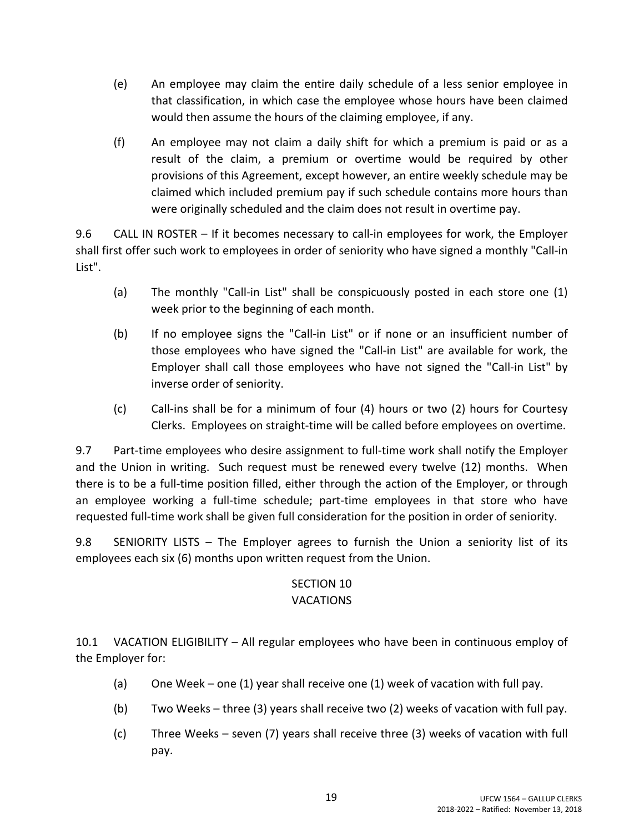- (e) An employee may claim the entire daily schedule of a less senior employee in that classification, in which case the employee whose hours have been claimed would then assume the hours of the claiming employee, if any.
- (f) An employee may not claim a daily shift for which a premium is paid or as a result of the claim, a premium or overtime would be required by other provisions of this Agreement, except however, an entire weekly schedule may be claimed which included premium pay if such schedule contains more hours than were originally scheduled and the claim does not result in overtime pay.

9.6 CALL IN ROSTER – If it becomes necessary to call-in employees for work, the Employer shall first offer such work to employees in order of seniority who have signed a monthly "Call-in List".

- (a) The monthly "Call-in List" shall be conspicuously posted in each store one (1) week prior to the beginning of each month.
- (b) If no employee signs the "Call-in List" or if none or an insufficient number of those employees who have signed the "Call-in List" are available for work, the Employer shall call those employees who have not signed the "Call-in List" by inverse order of seniority.
- (c) Call-ins shall be for a minimum of four (4) hours or two (2) hours for Courtesy Clerks. Employees on straight-time will be called before employees on overtime.

9.7 Part-time employees who desire assignment to full-time work shall notify the Employer and the Union in writing. Such request must be renewed every twelve (12) months. When there is to be a full-time position filled, either through the action of the Employer, or through an employee working a full-time schedule; part-time employees in that store who have requested full-time work shall be given full consideration for the position in order of seniority.

9.8 SENIORITY LISTS – The Employer agrees to furnish the Union a seniority list of its employees each six (6) months upon written request from the Union.

## SECTION 10

## VACATIONS

10.1 VACATION ELIGIBILITY – All regular employees who have been in continuous employ of the Employer for:

- (a) One Week one (1) year shall receive one (1) week of vacation with full pay.
- (b) Two Weeks three (3) years shall receive two (2) weeks of vacation with full pay.
- (c) Three Weeks seven (7) years shall receive three (3) weeks of vacation with full pay.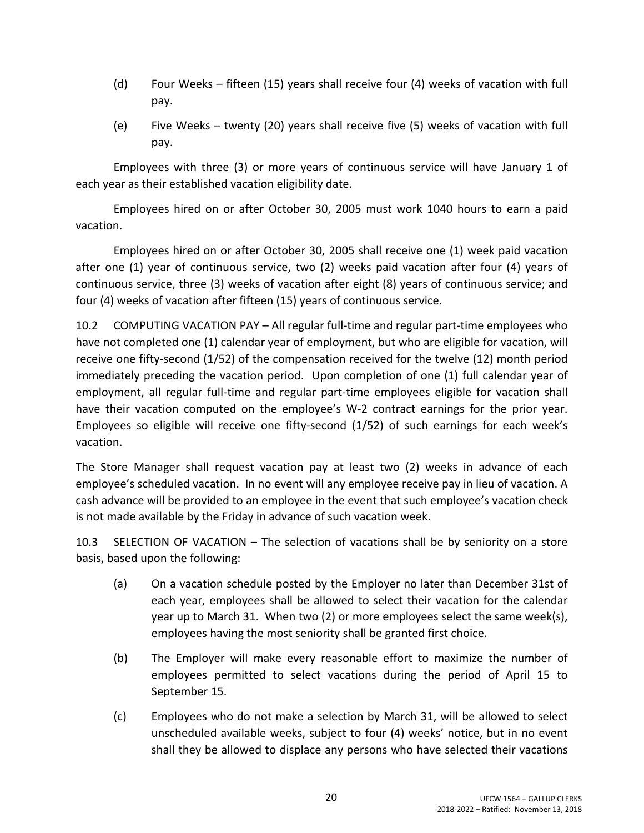- (d) Four Weeks fifteen (15) years shall receive four (4) weeks of vacation with full pay.
- (e) Five Weeks twenty (20) years shall receive five (5) weeks of vacation with full pay.

Employees with three (3) or more years of continuous service will have January 1 of each year as their established vacation eligibility date.

Employees hired on or after October 30, 2005 must work 1040 hours to earn a paid vacation.

Employees hired on or after October 30, 2005 shall receive one (1) week paid vacation after one (1) year of continuous service, two (2) weeks paid vacation after four (4) years of continuous service, three (3) weeks of vacation after eight (8) years of continuous service; and four (4) weeks of vacation after fifteen (15) years of continuous service.

10.2 COMPUTING VACATION PAY – All regular full-time and regular part-time employees who have not completed one (1) calendar year of employment, but who are eligible for vacation, will receive one fifty-second (1/52) of the compensation received for the twelve (12) month period immediately preceding the vacation period. Upon completion of one (1) full calendar year of employment, all regular full-time and regular part-time employees eligible for vacation shall have their vacation computed on the employee's W-2 contract earnings for the prior year. Employees so eligible will receive one fifty-second (1/52) of such earnings for each week's vacation.

The Store Manager shall request vacation pay at least two (2) weeks in advance of each employee's scheduled vacation. In no event will any employee receive pay in lieu of vacation. A cash advance will be provided to an employee in the event that such employee's vacation check is not made available by the Friday in advance of such vacation week.

10.3 SELECTION OF VACATION – The selection of vacations shall be by seniority on a store basis, based upon the following:

- (a) On a vacation schedule posted by the Employer no later than December 31st of each year, employees shall be allowed to select their vacation for the calendar year up to March 31. When two (2) or more employees select the same week(s), employees having the most seniority shall be granted first choice.
- (b) The Employer will make every reasonable effort to maximize the number of employees permitted to select vacations during the period of April 15 to September 15.
- (c) Employees who do not make a selection by March 31, will be allowed to select unscheduled available weeks, subject to four (4) weeks' notice, but in no event shall they be allowed to displace any persons who have selected their vacations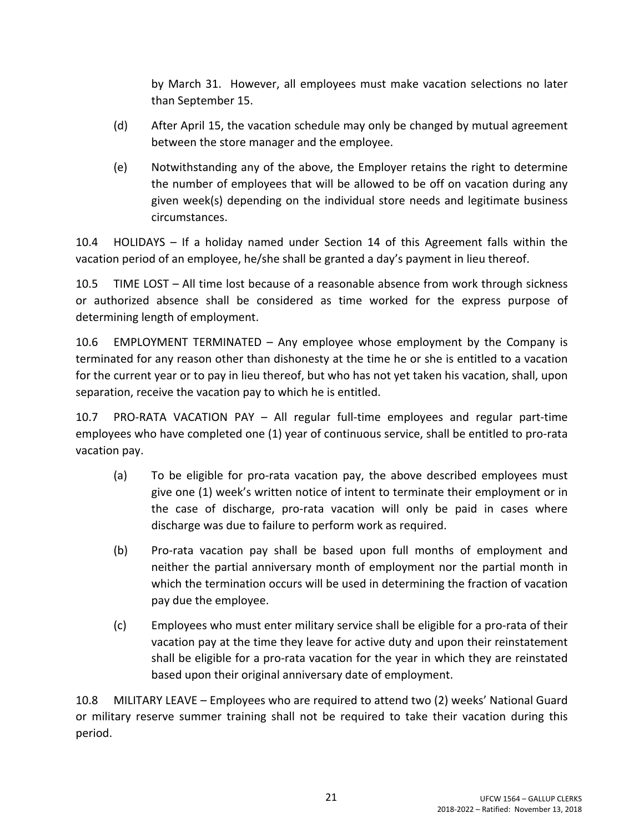by March 31. However, all employees must make vacation selections no later than September 15.

- (d) After April 15, the vacation schedule may only be changed by mutual agreement between the store manager and the employee.
- (e) Notwithstanding any of the above, the Employer retains the right to determine the number of employees that will be allowed to be off on vacation during any given week(s) depending on the individual store needs and legitimate business circumstances.

10.4 HOLIDAYS – If a holiday named under Section 14 of this Agreement falls within the vacation period of an employee, he/she shall be granted a day's payment in lieu thereof.

10.5 TIME LOST – All time lost because of a reasonable absence from work through sickness or authorized absence shall be considered as time worked for the express purpose of determining length of employment.

10.6 EMPLOYMENT TERMINATED – Any employee whose employment by the Company is terminated for any reason other than dishonesty at the time he or she is entitled to a vacation for the current year or to pay in lieu thereof, but who has not yet taken his vacation, shall, upon separation, receive the vacation pay to which he is entitled.

10.7 PRO-RATA VACATION PAY – All regular full-time employees and regular part-time employees who have completed one (1) year of continuous service, shall be entitled to pro-rata vacation pay.

- (a) To be eligible for pro-rata vacation pay, the above described employees must give one (1) week's written notice of intent to terminate their employment or in the case of discharge, pro-rata vacation will only be paid in cases where discharge was due to failure to perform work as required.
- (b) Pro-rata vacation pay shall be based upon full months of employment and neither the partial anniversary month of employment nor the partial month in which the termination occurs will be used in determining the fraction of vacation pay due the employee.
- (c) Employees who must enter military service shall be eligible for a pro-rata of their vacation pay at the time they leave for active duty and upon their reinstatement shall be eligible for a pro-rata vacation for the year in which they are reinstated based upon their original anniversary date of employment.

10.8 MILITARY LEAVE – Employees who are required to attend two (2) weeks' National Guard or military reserve summer training shall not be required to take their vacation during this period.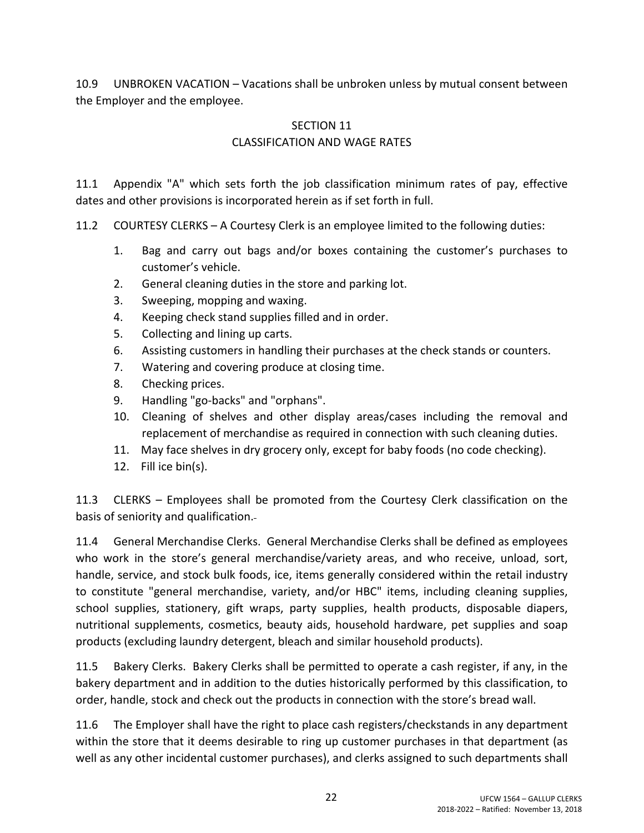10.9 UNBROKEN VACATION – Vacations shall be unbroken unless by mutual consent between the Employer and the employee.

## SECTION 11 CLASSIFICATION AND WAGE RATES

11.1 Appendix "A" which sets forth the job classification minimum rates of pay, effective dates and other provisions is incorporated herein as if set forth in full.

11.2 COURTESY CLERKS – A Courtesy Clerk is an employee limited to the following duties:

- 1. Bag and carry out bags and/or boxes containing the customer's purchases to customer's vehicle.
- 2. General cleaning duties in the store and parking lot.
- 3. Sweeping, mopping and waxing.
- 4. Keeping check stand supplies filled and in order.
- 5. Collecting and lining up carts.
- 6. Assisting customers in handling their purchases at the check stands or counters.
- 7. Watering and covering produce at closing time.
- 8. Checking prices.
- 9. Handling "go-backs" and "orphans".
- 10. Cleaning of shelves and other display areas/cases including the removal and replacement of merchandise as required in connection with such cleaning duties.
- 11. May face shelves in dry grocery only, except for baby foods (no code checking).
- 12. Fill ice bin(s).

11.3 CLERKS – Employees shall be promoted from the Courtesy Clerk classification on the basis of seniority and qualification.

11.4 General Merchandise Clerks. General Merchandise Clerks shall be defined as employees who work in the store's general merchandise/variety areas, and who receive, unload, sort, handle, service, and stock bulk foods, ice, items generally considered within the retail industry to constitute "general merchandise, variety, and/or HBC" items, including cleaning supplies, school supplies, stationery, gift wraps, party supplies, health products, disposable diapers, nutritional supplements, cosmetics, beauty aids, household hardware, pet supplies and soap products (excluding laundry detergent, bleach and similar household products).

11.5 Bakery Clerks. Bakery Clerks shall be permitted to operate a cash register, if any, in the bakery department and in addition to the duties historically performed by this classification, to order, handle, stock and check out the products in connection with the store's bread wall.

11.6 The Employer shall have the right to place cash registers/checkstands in any department within the store that it deems desirable to ring up customer purchases in that department (as well as any other incidental customer purchases), and clerks assigned to such departments shall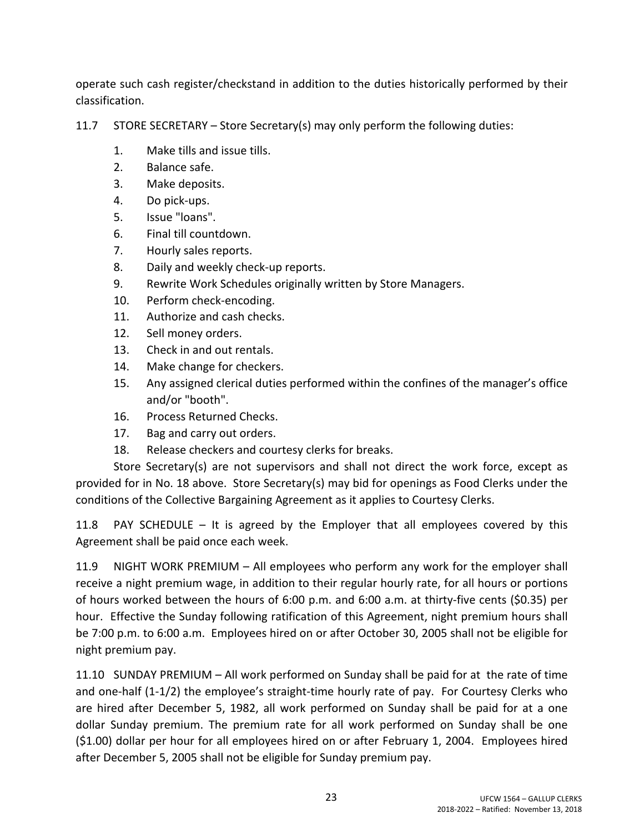operate such cash register/checkstand in addition to the duties historically performed by their classification.

11.7 STORE SECRETARY – Store Secretary(s) may only perform the following duties:

- 1. Make tills and issue tills.
- 2. Balance safe.
- 3. Make deposits.
- 4. Do pick-ups.
- 5. Issue "loans".
- 6. Final till countdown.
- 7. Hourly sales reports.
- 8. Daily and weekly check-up reports.
- 9. Rewrite Work Schedules originally written by Store Managers.
- 10. Perform check-encoding.
- 11. Authorize and cash checks.
- 12. Sell money orders.
- 13. Check in and out rentals.
- 14. Make change for checkers.
- 15. Any assigned clerical duties performed within the confines of the manager's office and/or "booth".
- 16. Process Returned Checks.
- 17. Bag and carry out orders.
- 18. Release checkers and courtesy clerks for breaks.

Store Secretary(s) are not supervisors and shall not direct the work force, except as provided for in No. 18 above. Store Secretary(s) may bid for openings as Food Clerks under the conditions of the Collective Bargaining Agreement as it applies to Courtesy Clerks.

11.8 PAY SCHEDULE – It is agreed by the Employer that all employees covered by this Agreement shall be paid once each week.

11.9 NIGHT WORK PREMIUM – All employees who perform any work for the employer shall receive a night premium wage, in addition to their regular hourly rate, for all hours or portions of hours worked between the hours of 6:00 p.m. and 6:00 a.m. at thirty-five cents (\$0.35) per hour. Effective the Sunday following ratification of this Agreement, night premium hours shall be 7:00 p.m. to 6:00 a.m. Employees hired on or after October 30, 2005 shall not be eligible for night premium pay.

11.10 SUNDAY PREMIUM – All work performed on Sunday shall be paid for at the rate of time and one-half (1-1/2) the employee's straight-time hourly rate of pay. For Courtesy Clerks who are hired after December 5, 1982, all work performed on Sunday shall be paid for at a one dollar Sunday premium. The premium rate for all work performed on Sunday shall be one (\$1.00) dollar per hour for all employees hired on or after February 1, 2004. Employees hired after December 5, 2005 shall not be eligible for Sunday premium pay.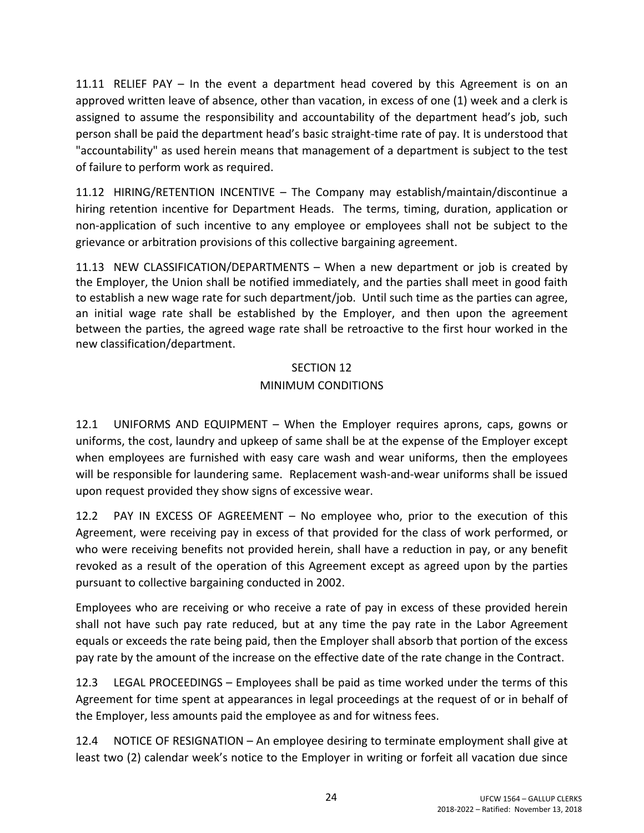11.11 RELIEF PAY – In the event a department head covered by this Agreement is on an approved written leave of absence, other than vacation, in excess of one (1) week and a clerk is assigned to assume the responsibility and accountability of the department head's job, such person shall be paid the department head's basic straight-time rate of pay. It is understood that "accountability" as used herein means that management of a department is subject to the test of failure to perform work as required.

11.12 HIRING/RETENTION INCENTIVE – The Company may establish/maintain/discontinue a hiring retention incentive for Department Heads. The terms, timing, duration, application or non-application of such incentive to any employee or employees shall not be subject to the grievance or arbitration provisions of this collective bargaining agreement.

11.13 NEW CLASSIFICATION/DEPARTMENTS – When a new department or job is created by the Employer, the Union shall be notified immediately, and the parties shall meet in good faith to establish a new wage rate for such department/job. Until such time as the parties can agree, an initial wage rate shall be established by the Employer, and then upon the agreement between the parties, the agreed wage rate shall be retroactive to the first hour worked in the new classification/department.

### SECTION 12

## MINIMUM CONDITIONS

12.1 UNIFORMS AND EQUIPMENT – When the Employer requires aprons, caps, gowns or uniforms, the cost, laundry and upkeep of same shall be at the expense of the Employer except when employees are furnished with easy care wash and wear uniforms, then the employees will be responsible for laundering same. Replacement wash-and-wear uniforms shall be issued upon request provided they show signs of excessive wear.

12.2 PAY IN EXCESS OF AGREEMENT – No employee who, prior to the execution of this Agreement, were receiving pay in excess of that provided for the class of work performed, or who were receiving benefits not provided herein, shall have a reduction in pay, or any benefit revoked as a result of the operation of this Agreement except as agreed upon by the parties pursuant to collective bargaining conducted in 2002.

Employees who are receiving or who receive a rate of pay in excess of these provided herein shall not have such pay rate reduced, but at any time the pay rate in the Labor Agreement equals or exceeds the rate being paid, then the Employer shall absorb that portion of the excess pay rate by the amount of the increase on the effective date of the rate change in the Contract.

12.3 LEGAL PROCEEDINGS – Employees shall be paid as time worked under the terms of this Agreement for time spent at appearances in legal proceedings at the request of or in behalf of the Employer, less amounts paid the employee as and for witness fees.

12.4 NOTICE OF RESIGNATION – An employee desiring to terminate employment shall give at least two (2) calendar week's notice to the Employer in writing or forfeit all vacation due since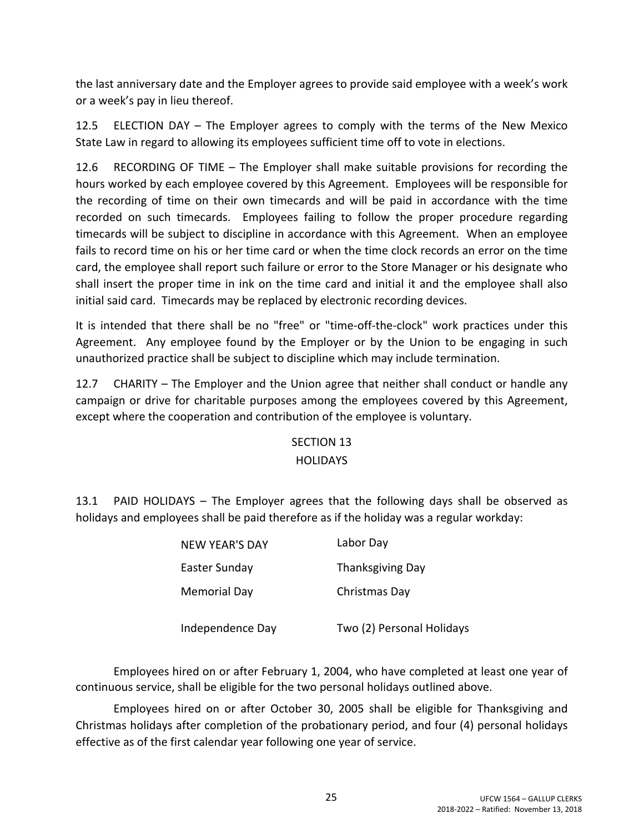the last anniversary date and the Employer agrees to provide said employee with a week's work or a week's pay in lieu thereof.

12.5 ELECTION DAY – The Employer agrees to comply with the terms of the New Mexico State Law in regard to allowing its employees sufficient time off to vote in elections.

12.6 RECORDING OF TIME – The Employer shall make suitable provisions for recording the hours worked by each employee covered by this Agreement. Employees will be responsible for the recording of time on their own timecards and will be paid in accordance with the time recorded on such timecards. Employees failing to follow the proper procedure regarding timecards will be subject to discipline in accordance with this Agreement. When an employee fails to record time on his or her time card or when the time clock records an error on the time card, the employee shall report such failure or error to the Store Manager or his designate who shall insert the proper time in ink on the time card and initial it and the employee shall also initial said card. Timecards may be replaced by electronic recording devices.

It is intended that there shall be no "free" or "time-off-the-clock" work practices under this Agreement. Any employee found by the Employer or by the Union to be engaging in such unauthorized practice shall be subject to discipline which may include termination.

12.7 CHARITY – The Employer and the Union agree that neither shall conduct or handle any campaign or drive for charitable purposes among the employees covered by this Agreement, except where the cooperation and contribution of the employee is voluntary.

# SECTION 13

### **HOLIDAYS**

13.1 PAID HOLIDAYS – The Employer agrees that the following days shall be observed as holidays and employees shall be paid therefore as if the holiday was a regular workday:

| <b>NEW YEAR'S DAY</b> | Labor Day                 |
|-----------------------|---------------------------|
| Easter Sunday         | <b>Thanksgiving Day</b>   |
| <b>Memorial Day</b>   | Christmas Day             |
| Independence Day      | Two (2) Personal Holidays |

Employees hired on or after February 1, 2004, who have completed at least one year of continuous service, shall be eligible for the two personal holidays outlined above.

Employees hired on or after October 30, 2005 shall be eligible for Thanksgiving and Christmas holidays after completion of the probationary period, and four (4) personal holidays effective as of the first calendar year following one year of service.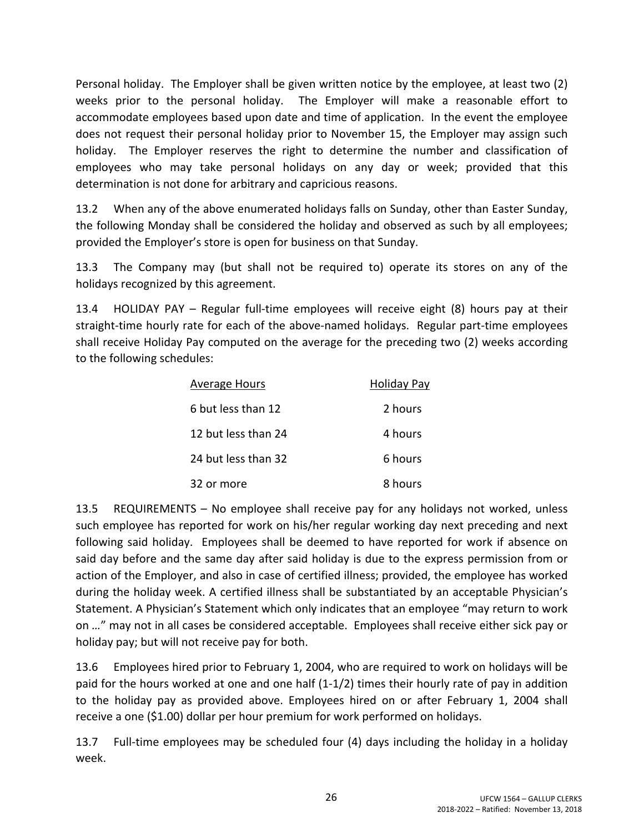Personal holiday. The Employer shall be given written notice by the employee, at least two (2) weeks prior to the personal holiday. The Employer will make a reasonable effort to accommodate employees based upon date and time of application. In the event the employee does not request their personal holiday prior to November 15, the Employer may assign such holiday. The Employer reserves the right to determine the number and classification of employees who may take personal holidays on any day or week; provided that this determination is not done for arbitrary and capricious reasons.

13.2 When any of the above enumerated holidays falls on Sunday, other than Easter Sunday, the following Monday shall be considered the holiday and observed as such by all employees; provided the Employer's store is open for business on that Sunday.

13.3 The Company may (but shall not be required to) operate its stores on any of the holidays recognized by this agreement.

13.4 HOLIDAY PAY – Regular full-time employees will receive eight (8) hours pay at their straight-time hourly rate for each of the above-named holidays. Regular part-time employees shall receive Holiday Pay computed on the average for the preceding two (2) weeks according to the following schedules:

| <b>Average Hours</b> | <b>Holiday Pay</b> |
|----------------------|--------------------|
| 6 but less than 12   | 2 hours            |
| 12 but less than 24  | 4 hours            |
| 24 but less than 32  | 6 hours            |
| 32 or more           | 8 hours            |

13.5 REQUIREMENTS – No employee shall receive pay for any holidays not worked, unless such employee has reported for work on his/her regular working day next preceding and next following said holiday. Employees shall be deemed to have reported for work if absence on said day before and the same day after said holiday is due to the express permission from or action of the Employer, and also in case of certified illness; provided, the employee has worked during the holiday week. A certified illness shall be substantiated by an acceptable Physician's Statement. A Physician's Statement which only indicates that an employee "may return to work on *…*" may not in all cases be considered acceptable. Employees shall receive either sick pay or holiday pay; but will not receive pay for both.

13.6 Employees hired prior to February 1, 2004, who are required to work on holidays will be paid for the hours worked at one and one half (1-1/2) times their hourly rate of pay in addition to the holiday pay as provided above. Employees hired on or after February 1, 2004 shall receive a one (\$1.00) dollar per hour premium for work performed on holidays.

13.7 Full-time employees may be scheduled four (4) days including the holiday in a holiday week.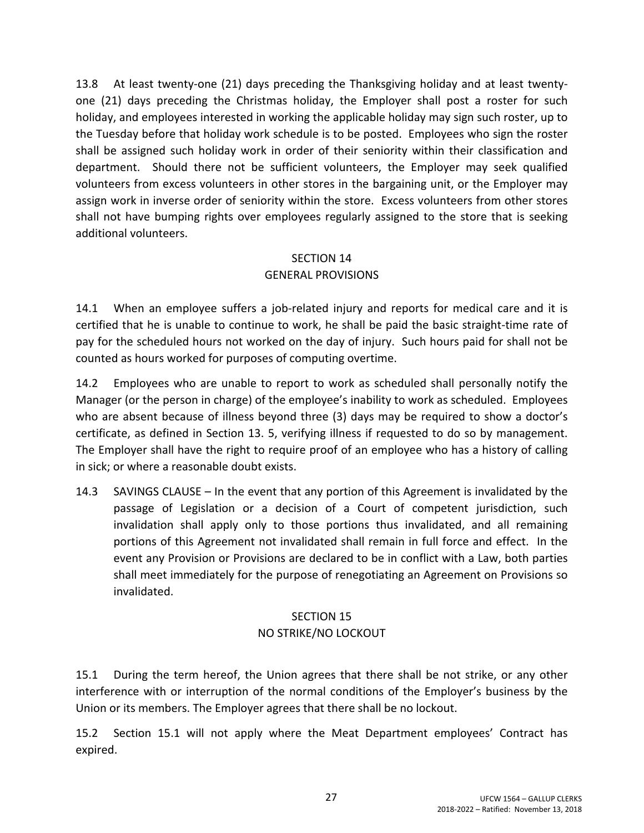13.8 At least twenty-one (21) days preceding the Thanksgiving holiday and at least twentyone (21) days preceding the Christmas holiday, the Employer shall post a roster for such holiday, and employees interested in working the applicable holiday may sign such roster, up to the Tuesday before that holiday work schedule is to be posted. Employees who sign the roster shall be assigned such holiday work in order of their seniority within their classification and department. Should there not be sufficient volunteers, the Employer may seek qualified volunteers from excess volunteers in other stores in the bargaining unit, or the Employer may assign work in inverse order of seniority within the store. Excess volunteers from other stores shall not have bumping rights over employees regularly assigned to the store that is seeking additional volunteers.

## SECTION 14 GENERAL PROVISIONS

14.1 When an employee suffers a job-related injury and reports for medical care and it is certified that he is unable to continue to work, he shall be paid the basic straight-time rate of pay for the scheduled hours not worked on the day of injury. Such hours paid for shall not be counted as hours worked for purposes of computing overtime.

14.2 Employees who are unable to report to work as scheduled shall personally notify the Manager (or the person in charge) of the employee's inability to work as scheduled. Employees who are absent because of illness beyond three (3) days may be required to show a doctor's certificate, as defined in Section 13. 5, verifying illness if requested to do so by management. The Employer shall have the right to require proof of an employee who has a history of calling in sick; or where a reasonable doubt exists.

14.3 SAVINGS CLAUSE – In the event that any portion of this Agreement is invalidated by the passage of Legislation or a decision of a Court of competent jurisdiction, such invalidation shall apply only to those portions thus invalidated, and all remaining portions of this Agreement not invalidated shall remain in full force and effect. In the event any Provision or Provisions are declared to be in conflict with a Law, both parties shall meet immediately for the purpose of renegotiating an Agreement on Provisions so invalidated.

## SECTION 15

## NO STRIKE/NO LOCKOUT

15.1 During the term hereof, the Union agrees that there shall be not strike, or any other interference with or interruption of the normal conditions of the Employer's business by the Union or its members. The Employer agrees that there shall be no lockout.

15.2 Section 15.1 will not apply where the Meat Department employees' Contract has expired.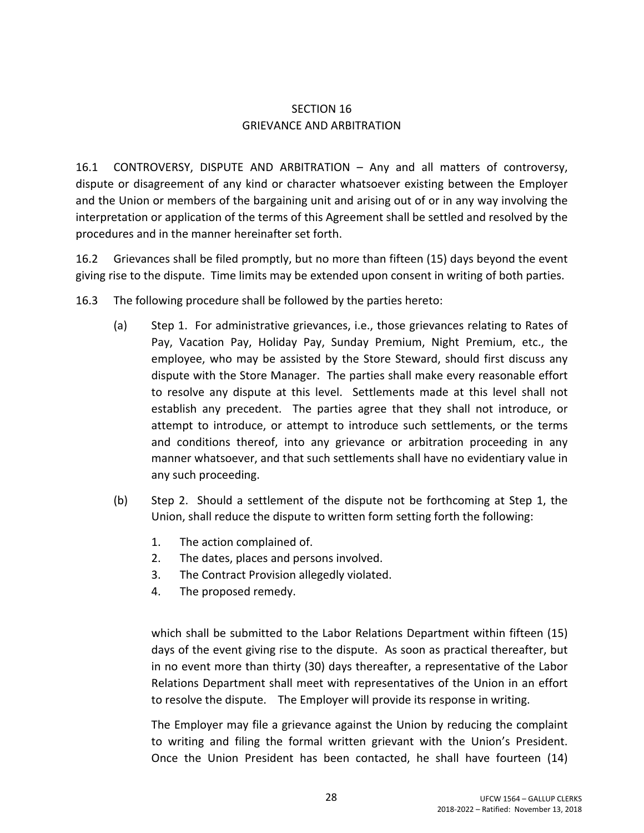### SECTION 16 GRIEVANCE AND ARBITRATION

16.1 CONTROVERSY, DISPUTE AND ARBITRATION – Any and all matters of controversy, dispute or disagreement of any kind or character whatsoever existing between the Employer and the Union or members of the bargaining unit and arising out of or in any way involving the interpretation or application of the terms of this Agreement shall be settled and resolved by the procedures and in the manner hereinafter set forth.

16.2 Grievances shall be filed promptly, but no more than fifteen (15) days beyond the event giving rise to the dispute. Time limits may be extended upon consent in writing of both parties.

- 16.3 The following procedure shall be followed by the parties hereto:
	- (a) Step 1. For administrative grievances, i.e., those grievances relating to Rates of Pay, Vacation Pay, Holiday Pay, Sunday Premium, Night Premium, etc., the employee, who may be assisted by the Store Steward, should first discuss any dispute with the Store Manager. The parties shall make every reasonable effort to resolve any dispute at this level. Settlements made at this level shall not establish any precedent. The parties agree that they shall not introduce, or attempt to introduce, or attempt to introduce such settlements, or the terms and conditions thereof, into any grievance or arbitration proceeding in any manner whatsoever, and that such settlements shall have no evidentiary value in any such proceeding.
	- (b) Step 2. Should a settlement of the dispute not be forthcoming at Step 1, the Union, shall reduce the dispute to written form setting forth the following:
		- 1. The action complained of.
		- 2. The dates, places and persons involved.
		- 3. The Contract Provision allegedly violated.
		- 4. The proposed remedy.

which shall be submitted to the Labor Relations Department within fifteen (15) days of the event giving rise to the dispute. As soon as practical thereafter, but in no event more than thirty (30) days thereafter, a representative of the Labor Relations Department shall meet with representatives of the Union in an effort to resolve the dispute. The Employer will provide its response in writing.

The Employer may file a grievance against the Union by reducing the complaint to writing and filing the formal written grievant with the Union's President. Once the Union President has been contacted, he shall have fourteen (14)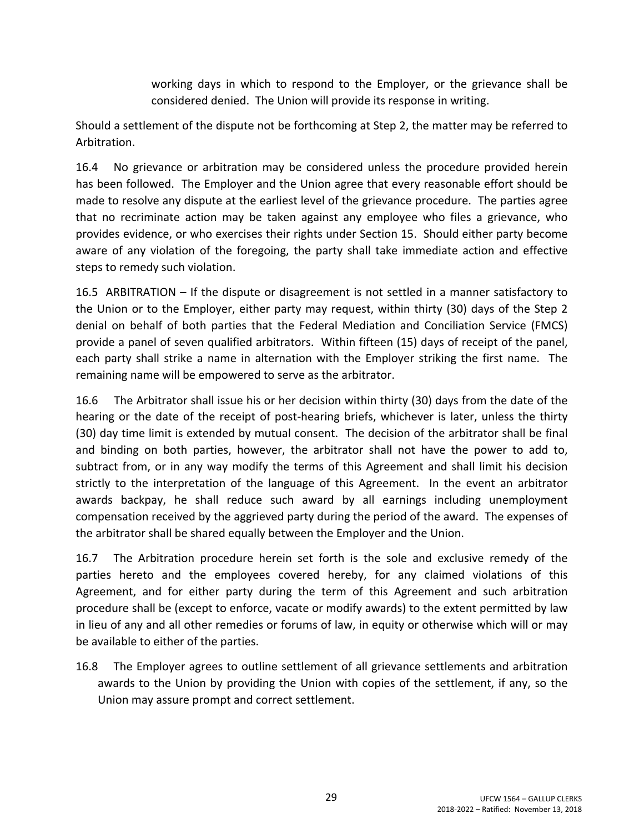working days in which to respond to the Employer, or the grievance shall be considered denied. The Union will provide its response in writing.

Should a settlement of the dispute not be forthcoming at Step 2, the matter may be referred to Arbitration.

16.4 No grievance or arbitration may be considered unless the procedure provided herein has been followed. The Employer and the Union agree that every reasonable effort should be made to resolve any dispute at the earliest level of the grievance procedure. The parties agree that no recriminate action may be taken against any employee who files a grievance, who provides evidence, or who exercises their rights under Section 15. Should either party become aware of any violation of the foregoing, the party shall take immediate action and effective steps to remedy such violation.

16.5 ARBITRATION – If the dispute or disagreement is not settled in a manner satisfactory to the Union or to the Employer, either party may request, within thirty (30) days of the Step 2 denial on behalf of both parties that the Federal Mediation and Conciliation Service (FMCS) provide a panel of seven qualified arbitrators. Within fifteen (15) days of receipt of the panel, each party shall strike a name in alternation with the Employer striking the first name. The remaining name will be empowered to serve as the arbitrator.

16.6 The Arbitrator shall issue his or her decision within thirty (30) days from the date of the hearing or the date of the receipt of post-hearing briefs, whichever is later, unless the thirty (30) day time limit is extended by mutual consent. The decision of the arbitrator shall be final and binding on both parties, however, the arbitrator shall not have the power to add to, subtract from, or in any way modify the terms of this Agreement and shall limit his decision strictly to the interpretation of the language of this Agreement. In the event an arbitrator awards backpay, he shall reduce such award by all earnings including unemployment compensation received by the aggrieved party during the period of the award. The expenses of the arbitrator shall be shared equally between the Employer and the Union.

16.7 The Arbitration procedure herein set forth is the sole and exclusive remedy of the parties hereto and the employees covered hereby, for any claimed violations of this Agreement, and for either party during the term of this Agreement and such arbitration procedure shall be (except to enforce, vacate or modify awards) to the extent permitted by law in lieu of any and all other remedies or forums of law, in equity or otherwise which will or may be available to either of the parties.

16.8 The Employer agrees to outline settlement of all grievance settlements and arbitration awards to the Union by providing the Union with copies of the settlement, if any, so the Union may assure prompt and correct settlement.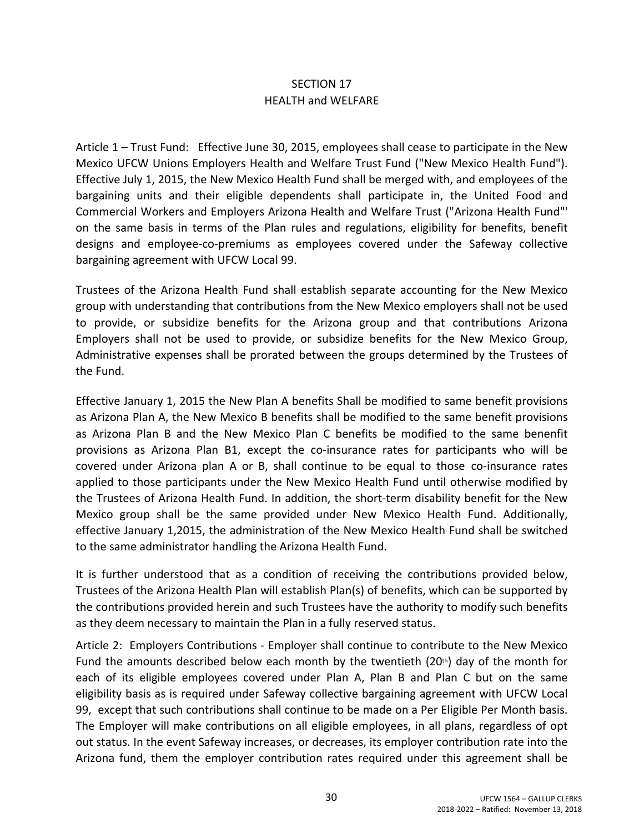## SECTION 17 HEALTH and WELFARE

Article 1 – Trust Fund: Effective June 30, 2015, employees shall cease to participate in the New Mexico UFCW Unions Employers Health and Welfare Trust Fund ("New Mexico Health Fund"). Effective July 1, 2015, the New Mexico Health Fund shall be merged with, and employees of the bargaining units and their eligible dependents shall participate in, the United Food and Commercial Workers and Employers Arizona Health and Welfare Trust ("Arizona Health Fund"' on the same basis in terms of the Plan rules and regulations, eligibility for benefits, benefit designs and employee-co-premiums as employees covered under the Safeway collective bargaining agreement with UFCW Local 99.

Trustees of the Arizona Health Fund shall establish separate accounting for the New Mexico group with understanding that contributions from the New Mexico employers shall not be used to provide, or subsidize benefits for the Arizona group and that contributions Arizona Employers shall not be used to provide, or subsidize benefits for the New Mexico Group, Administrative expenses shall be prorated between the groups determined by the Trustees of the Fund.

Effective January 1, 2015 the New Plan A benefits Shall be modified to same benefit provisions as Arizona Plan A, the New Mexico B benefits shall be modified to the same benefit provisions as Arizona Plan B and the New Mexico Plan C benefits be modified to the same benenfit provisions as Arizona Plan B1, except the co-insurance rates for participants who will be covered under Arizona plan A or B, shall continue to be equal to those co-insurance rates applied to those participants under the New Mexico Health Fund until otherwise modified by the Trustees of Arizona Health Fund. In addition, the short-term disability benefit for the New Mexico group shall be the same provided under New Mexico Health Fund. Additionally, effective January 1,2015, the administration of the New Mexico Health Fund shall be switched to the same administrator handling the Arizona Health Fund.

It is further understood that as a condition of receiving the contributions provided below, Trustees of the Arizona Health Plan will establish Plan(s) of benefits, which can be supported by the contributions provided herein and such Trustees have the authority to modify such benefits as they deem necessary to maintain the Plan in a fully reserved status.

Article 2: Employers Contributions - Employer shall continue to contribute to the New Mexico Fund the amounts described below each month by the twentieth  $(20<sup>th</sup>)$  day of the month for each of its eligible employees covered under Plan A, Plan B and Plan C but on the same eligibility basis as is required under Safeway collective bargaining agreement with UFCW Local 99, except that such contributions shall continue to be made on a Per Eligible Per Month basis. The Employer will make contributions on all eligible employees, in all plans, regardless of opt out status. In the event Safeway increases, or decreases, its employer contribution rate into the Arizona fund, them the employer contribution rates required under this agreement shall be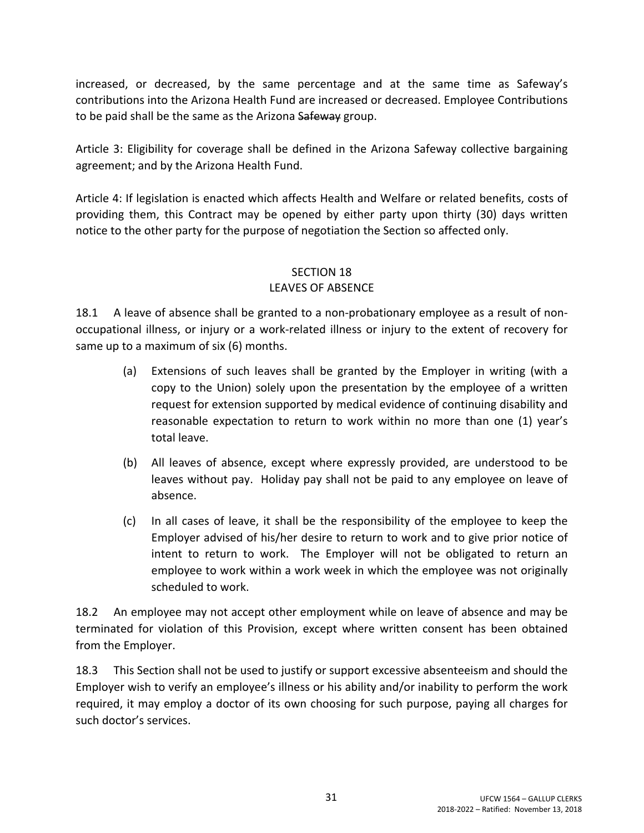increased, or decreased, by the same percentage and at the same time as Safeway's contributions into the Arizona Health Fund are increased or decreased. Employee Contributions to be paid shall be the same as the Arizona Safeway group.

Article 3: Eligibility for coverage shall be defined in the Arizona Safeway collective bargaining agreement; and by the Arizona Health Fund.

Article 4: If legislation is enacted which affects Health and Welfare or related benefits, costs of providing them, this Contract may be opened by either party upon thirty (30) days written notice to the other party for the purpose of negotiation the Section so affected only.

### SECTION 18 LEAVES OF ABSENCE

18.1 A leave of absence shall be granted to a non-probationary employee as a result of nonoccupational illness, or injury or a work-related illness or injury to the extent of recovery for same up to a maximum of six (6) months.

- (a) Extensions of such leaves shall be granted by the Employer in writing (with a copy to the Union) solely upon the presentation by the employee of a written request for extension supported by medical evidence of continuing disability and reasonable expectation to return to work within no more than one (1) year's total leave.
- (b) All leaves of absence, except where expressly provided, are understood to be leaves without pay. Holiday pay shall not be paid to any employee on leave of absence.
- (c) In all cases of leave, it shall be the responsibility of the employee to keep the Employer advised of his/her desire to return to work and to give prior notice of intent to return to work. The Employer will not be obligated to return an employee to work within a work week in which the employee was not originally scheduled to work.

18.2 An employee may not accept other employment while on leave of absence and may be terminated for violation of this Provision, except where written consent has been obtained from the Employer.

18.3 This Section shall not be used to justify or support excessive absenteeism and should the Employer wish to verify an employee's illness or his ability and/or inability to perform the work required, it may employ a doctor of its own choosing for such purpose, paying all charges for such doctor's services.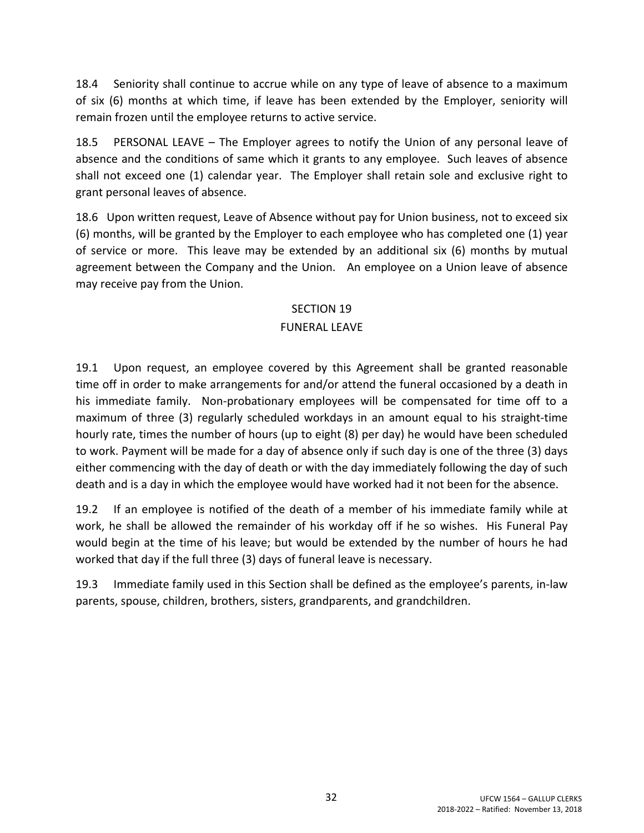18.4 Seniority shall continue to accrue while on any type of leave of absence to a maximum of six (6) months at which time, if leave has been extended by the Employer, seniority will remain frozen until the employee returns to active service.

18.5 PERSONAL LEAVE – The Employer agrees to notify the Union of any personal leave of absence and the conditions of same which it grants to any employee. Such leaves of absence shall not exceed one (1) calendar year. The Employer shall retain sole and exclusive right to grant personal leaves of absence.

18.6 Upon written request, Leave of Absence without pay for Union business, not to exceed six (6) months, will be granted by the Employer to each employee who has completed one (1) year of service or more. This leave may be extended by an additional six (6) months by mutual agreement between the Company and the Union. An employee on a Union leave of absence may receive pay from the Union.

### SECTION 19

## FUNERAL LEAVE

19.1 Upon request, an employee covered by this Agreement shall be granted reasonable time off in order to make arrangements for and/or attend the funeral occasioned by a death in his immediate family. Non-probationary employees will be compensated for time off to a maximum of three (3) regularly scheduled workdays in an amount equal to his straight-time hourly rate, times the number of hours (up to eight (8) per day) he would have been scheduled to work. Payment will be made for a day of absence only if such day is one of the three (3) days either commencing with the day of death or with the day immediately following the day of such death and is a day in which the employee would have worked had it not been for the absence.

19.2 If an employee is notified of the death of a member of his immediate family while at work, he shall be allowed the remainder of his workday off if he so wishes. His Funeral Pay would begin at the time of his leave; but would be extended by the number of hours he had worked that day if the full three (3) days of funeral leave is necessary.

19.3 Immediate family used in this Section shall be defined as the employee's parents, in-law parents, spouse, children, brothers, sisters, grandparents, and grandchildren.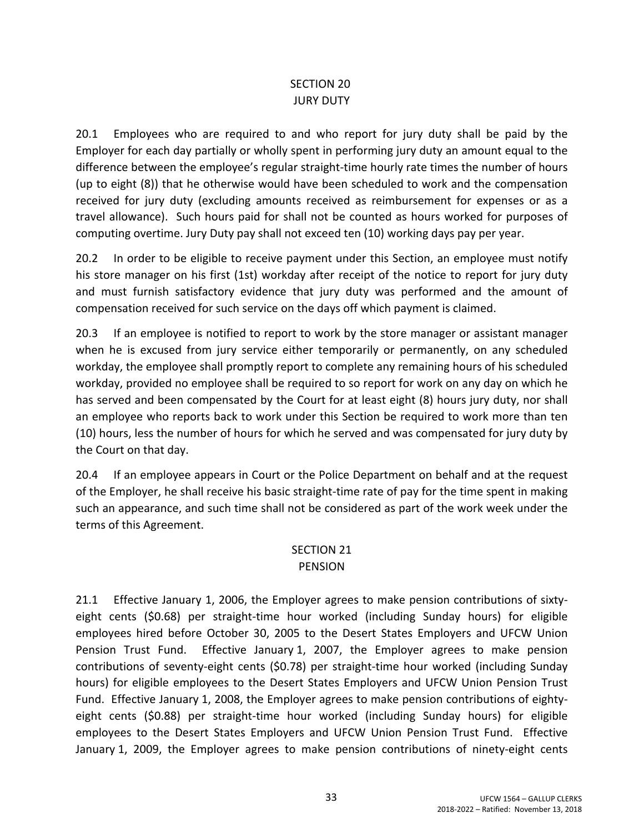### SECTION 20 JURY DUTY

20.1 Employees who are required to and who report for jury duty shall be paid by the Employer for each day partially or wholly spent in performing jury duty an amount equal to the difference between the employee's regular straight-time hourly rate times the number of hours (up to eight (8)) that he otherwise would have been scheduled to work and the compensation received for jury duty (excluding amounts received as reimbursement for expenses or as a travel allowance). Such hours paid for shall not be counted as hours worked for purposes of computing overtime. Jury Duty pay shall not exceed ten (10) working days pay per year.

20.2 In order to be eligible to receive payment under this Section, an employee must notify his store manager on his first (1st) workday after receipt of the notice to report for jury duty and must furnish satisfactory evidence that jury duty was performed and the amount of compensation received for such service on the days off which payment is claimed.

20.3 If an employee is notified to report to work by the store manager or assistant manager when he is excused from jury service either temporarily or permanently, on any scheduled workday, the employee shall promptly report to complete any remaining hours of his scheduled workday, provided no employee shall be required to so report for work on any day on which he has served and been compensated by the Court for at least eight (8) hours jury duty, nor shall an employee who reports back to work under this Section be required to work more than ten (10) hours, less the number of hours for which he served and was compensated for jury duty by the Court on that day.

20.4 If an employee appears in Court or the Police Department on behalf and at the request of the Employer, he shall receive his basic straight-time rate of pay for the time spent in making such an appearance, and such time shall not be considered as part of the work week under the terms of this Agreement.

#### SECTION 21 PENSION

21.1 Effective January 1, 2006, the Employer agrees to make pension contributions of sixtyeight cents (\$0.68) per straight-time hour worked (including Sunday hours) for eligible employees hired before October 30, 2005 to the Desert States Employers and UFCW Union Pension Trust Fund. Effective January 1, 2007, the Employer agrees to make pension contributions of seventy-eight cents (\$0.78) per straight-time hour worked (including Sunday hours) for eligible employees to the Desert States Employers and UFCW Union Pension Trust Fund. Effective January 1, 2008, the Employer agrees to make pension contributions of eightyeight cents (\$0.88) per straight-time hour worked (including Sunday hours) for eligible employees to the Desert States Employers and UFCW Union Pension Trust Fund. Effective January 1, 2009, the Employer agrees to make pension contributions of ninety-eight cents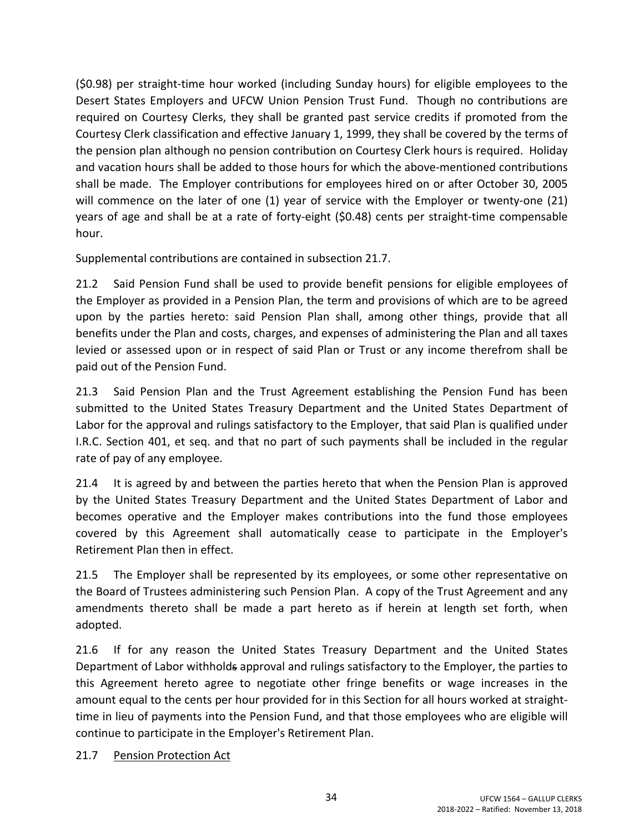(\$0.98) per straight-time hour worked (including Sunday hours) for eligible employees to the Desert States Employers and UFCW Union Pension Trust Fund. Though no contributions are required on Courtesy Clerks, they shall be granted past service credits if promoted from the Courtesy Clerk classification and effective January 1, 1999, they shall be covered by the terms of the pension plan although no pension contribution on Courtesy Clerk hours is required. Holiday and vacation hours shall be added to those hours for which the above-mentioned contributions shall be made. The Employer contributions for employees hired on or after October 30, 2005 will commence on the later of one (1) year of service with the Employer or twenty-one (21) years of age and shall be at a rate of forty-eight (\$0.48) cents per straight-time compensable hour.

Supplemental contributions are contained in subsection 21.7.

21.2 Said Pension Fund shall be used to provide benefit pensions for eligible employees of the Employer as provided in a Pension Plan, the term and provisions of which are to be agreed upon by the parties hereto: said Pension Plan shall, among other things, provide that all benefits under the Plan and costs, charges, and expenses of administering the Plan and all taxes levied or assessed upon or in respect of said Plan or Trust or any income therefrom shall be paid out of the Pension Fund.

21.3 Said Pension Plan and the Trust Agreement establishing the Pension Fund has been submitted to the United States Treasury Department and the United States Department of Labor for the approval and rulings satisfactory to the Employer, that said Plan is qualified under I.R.C. Section 401, et seq. and that no part of such payments shall be included in the regular rate of pay of any employee.

21.4 It is agreed by and between the parties hereto that when the Pension Plan is approved by the United States Treasury Department and the United States Department of Labor and becomes operative and the Employer makes contributions into the fund those employees covered by this Agreement shall automatically cease to participate in the Employer's Retirement Plan then in effect.

21.5 The Employer shall be represented by its employees, or some other representative on the Board of Trustees administering such Pension Plan. A copy of the Trust Agreement and any amendments thereto shall be made a part hereto as if herein at length set forth, when adopted.

21.6 If for any reason the United States Treasury Department and the United States Department of Labor withholds approval and rulings satisfactory to the Employer, the parties to this Agreement hereto agree to negotiate other fringe benefits or wage increases in the amount equal to the cents per hour provided for in this Section for all hours worked at straighttime in lieu of payments into the Pension Fund, and that those employees who are eligible will continue to participate in the Employer's Retirement Plan.

### 21.7 Pension Protection Act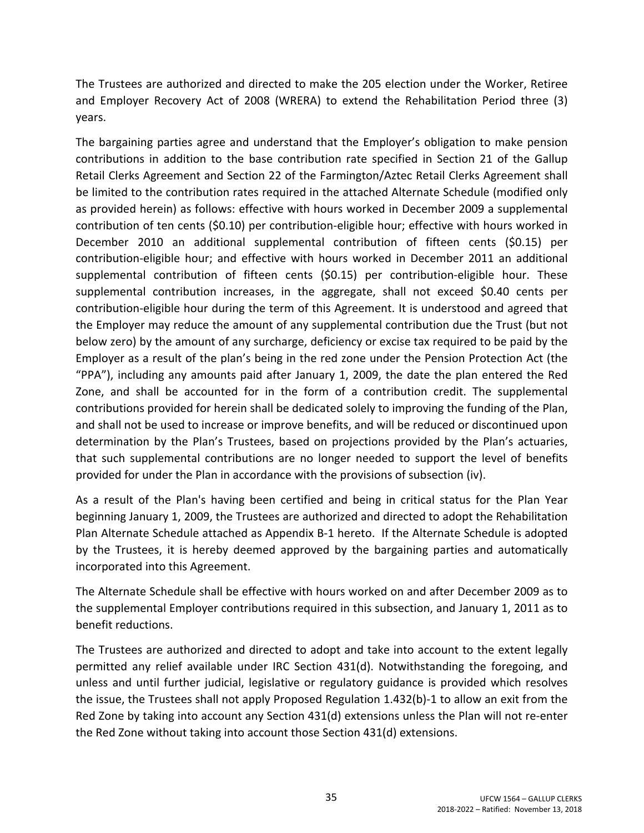The Trustees are authorized and directed to make the 205 election under the Worker, Retiree and Employer Recovery Act of 2008 (WRERA) to extend the Rehabilitation Period three (3) years.

The bargaining parties agree and understand that the Employer's obligation to make pension contributions in addition to the base contribution rate specified in Section 21 of the Gallup Retail Clerks Agreement and Section 22 of the Farmington/Aztec Retail Clerks Agreement shall be limited to the contribution rates required in the attached Alternate Schedule (modified only as provided herein) as follows: effective with hours worked in December 2009 a supplemental contribution of ten cents (\$0.10) per contribution-eligible hour; effective with hours worked in December 2010 an additional supplemental contribution of fifteen cents (\$0.15) per contribution-eligible hour; and effective with hours worked in December 2011 an additional supplemental contribution of fifteen cents (\$0.15) per contribution-eligible hour. These supplemental contribution increases, in the aggregate, shall not exceed \$0.40 cents per contribution-eligible hour during the term of this Agreement. It is understood and agreed that the Employer may reduce the amount of any supplemental contribution due the Trust (but not below zero) by the amount of any surcharge, deficiency or excise tax required to be paid by the Employer as a result of the plan's being in the red zone under the Pension Protection Act (the "PPA"), including any amounts paid after January 1, 2009, the date the plan entered the Red Zone, and shall be accounted for in the form of a contribution credit. The supplemental contributions provided for herein shall be dedicated solely to improving the funding of the Plan, and shall not be used to increase or improve benefits, and will be reduced or discontinued upon determination by the Plan's Trustees, based on projections provided by the Plan's actuaries, that such supplemental contributions are no longer needed to support the level of benefits provided for under the Plan in accordance with the provisions of subsection (iv).

As a result of the Plan's having been certified and being in critical status for the Plan Year beginning January 1, 2009, the Trustees are authorized and directed to adopt the Rehabilitation Plan Alternate Schedule attached as Appendix B-1 hereto. If the Alternate Schedule is adopted by the Trustees, it is hereby deemed approved by the bargaining parties and automatically incorporated into this Agreement.

The Alternate Schedule shall be effective with hours worked on and after December 2009 as to the supplemental Employer contributions required in this subsection, and January 1, 2011 as to benefit reductions.

The Trustees are authorized and directed to adopt and take into account to the extent legally permitted any relief available under IRC Section 431(d). Notwithstanding the foregoing, and unless and until further judicial, legislative or regulatory guidance is provided which resolves the issue, the Trustees shall not apply Proposed Regulation 1.432(b)-1 to allow an exit from the Red Zone by taking into account any Section 431(d) extensions unless the Plan will not re-enter the Red Zone without taking into account those Section 431(d) extensions.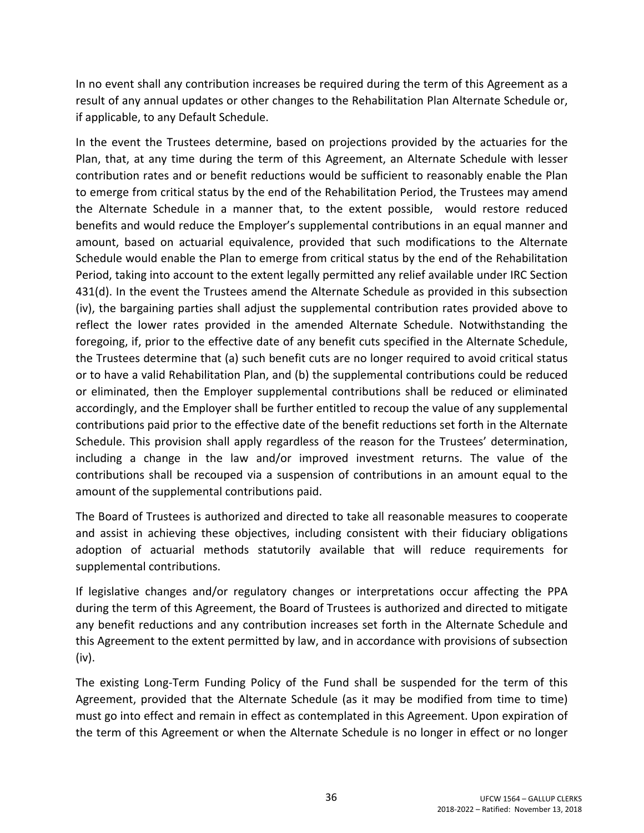In no event shall any contribution increases be required during the term of this Agreement as a result of any annual updates or other changes to the Rehabilitation Plan Alternate Schedule or, if applicable, to any Default Schedule.

In the event the Trustees determine, based on projections provided by the actuaries for the Plan, that, at any time during the term of this Agreement, an Alternate Schedule with lesser contribution rates and or benefit reductions would be sufficient to reasonably enable the Plan to emerge from critical status by the end of the Rehabilitation Period, the Trustees may amend the Alternate Schedule in a manner that, to the extent possible, would restore reduced benefits and would reduce the Employer's supplemental contributions in an equal manner and amount, based on actuarial equivalence, provided that such modifications to the Alternate Schedule would enable the Plan to emerge from critical status by the end of the Rehabilitation Period, taking into account to the extent legally permitted any relief available under IRC Section 431(d). In the event the Trustees amend the Alternate Schedule as provided in this subsection (iv), the bargaining parties shall adjust the supplemental contribution rates provided above to reflect the lower rates provided in the amended Alternate Schedule. Notwithstanding the foregoing, if, prior to the effective date of any benefit cuts specified in the Alternate Schedule, the Trustees determine that (a) such benefit cuts are no longer required to avoid critical status or to have a valid Rehabilitation Plan, and (b) the supplemental contributions could be reduced or eliminated, then the Employer supplemental contributions shall be reduced or eliminated accordingly, and the Employer shall be further entitled to recoup the value of any supplemental contributions paid prior to the effective date of the benefit reductions set forth in the Alternate Schedule. This provision shall apply regardless of the reason for the Trustees' determination, including a change in the law and/or improved investment returns. The value of the contributions shall be recouped via a suspension of contributions in an amount equal to the amount of the supplemental contributions paid.

The Board of Trustees is authorized and directed to take all reasonable measures to cooperate and assist in achieving these objectives, including consistent with their fiduciary obligations adoption of actuarial methods statutorily available that will reduce requirements for supplemental contributions.

If legislative changes and/or regulatory changes or interpretations occur affecting the PPA during the term of this Agreement, the Board of Trustees is authorized and directed to mitigate any benefit reductions and any contribution increases set forth in the Alternate Schedule and this Agreement to the extent permitted by law, and in accordance with provisions of subsection (iv).

The existing Long-Term Funding Policy of the Fund shall be suspended for the term of this Agreement, provided that the Alternate Schedule (as it may be modified from time to time) must go into effect and remain in effect as contemplated in this Agreement. Upon expiration of the term of this Agreement or when the Alternate Schedule is no longer in effect or no longer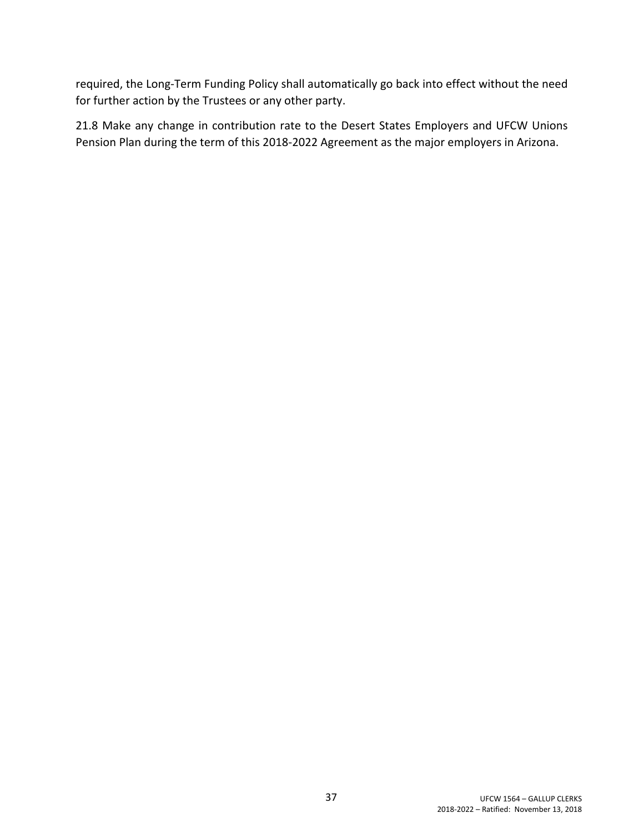required, the Long-Term Funding Policy shall automatically go back into effect without the need for further action by the Trustees or any other party.

21.8 Make any change in contribution rate to the Desert States Employers and UFCW Unions Pension Plan during the term of this 2018-2022 Agreement as the major employers in Arizona.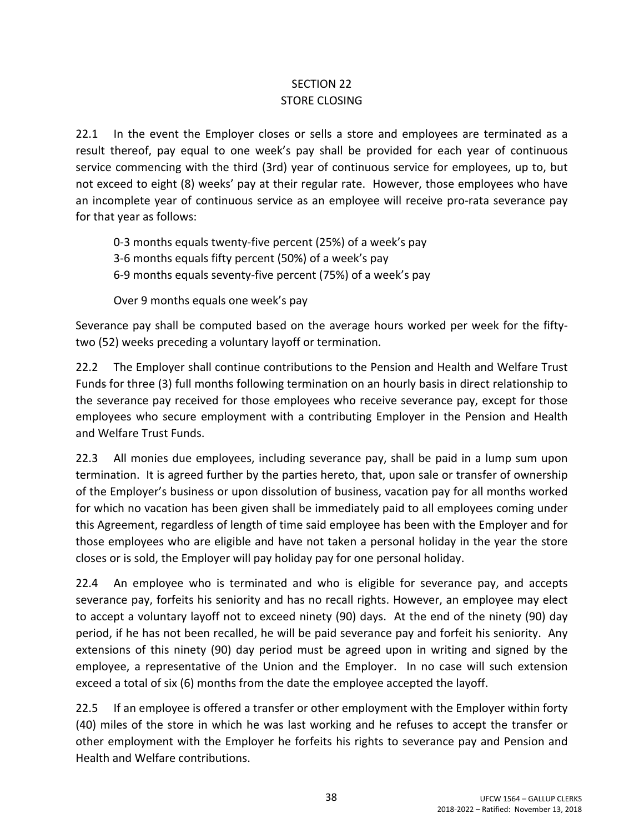## SECTION 22 STORE CLOSING

22.1 In the event the Employer closes or sells a store and employees are terminated as a result thereof, pay equal to one week's pay shall be provided for each year of continuous service commencing with the third (3rd) year of continuous service for employees, up to, but not exceed to eight (8) weeks' pay at their regular rate. However, those employees who have an incomplete year of continuous service as an employee will receive pro-rata severance pay for that year as follows:

0-3 months equals twenty-five percent (25%) of a week's pay

3-6 months equals fifty percent (50%) of a week's pay

6-9 months equals seventy-five percent (75%) of a week's pay

Over 9 months equals one week's pay

Severance pay shall be computed based on the average hours worked per week for the fiftytwo (52) weeks preceding a voluntary layoff or termination.

22.2 The Employer shall continue contributions to the Pension and Health and Welfare Trust Funds for three (3) full months following termination on an hourly basis in direct relationship to the severance pay received for those employees who receive severance pay, except for those employees who secure employment with a contributing Employer in the Pension and Health and Welfare Trust Funds.

22.3 All monies due employees, including severance pay, shall be paid in a lump sum upon termination. It is agreed further by the parties hereto, that, upon sale or transfer of ownership of the Employer's business or upon dissolution of business, vacation pay for all months worked for which no vacation has been given shall be immediately paid to all employees coming under this Agreement, regardless of length of time said employee has been with the Employer and for those employees who are eligible and have not taken a personal holiday in the year the store closes or is sold, the Employer will pay holiday pay for one personal holiday.

22.4 An employee who is terminated and who is eligible for severance pay, and accepts severance pay, forfeits his seniority and has no recall rights. However, an employee may elect to accept a voluntary layoff not to exceed ninety (90) days. At the end of the ninety (90) day period, if he has not been recalled, he will be paid severance pay and forfeit his seniority. Any extensions of this ninety (90) day period must be agreed upon in writing and signed by the employee, a representative of the Union and the Employer. In no case will such extension exceed a total of six (6) months from the date the employee accepted the layoff.

22.5 If an employee is offered a transfer or other employment with the Employer within forty (40) miles of the store in which he was last working and he refuses to accept the transfer or other employment with the Employer he forfeits his rights to severance pay and Pension and Health and Welfare contributions.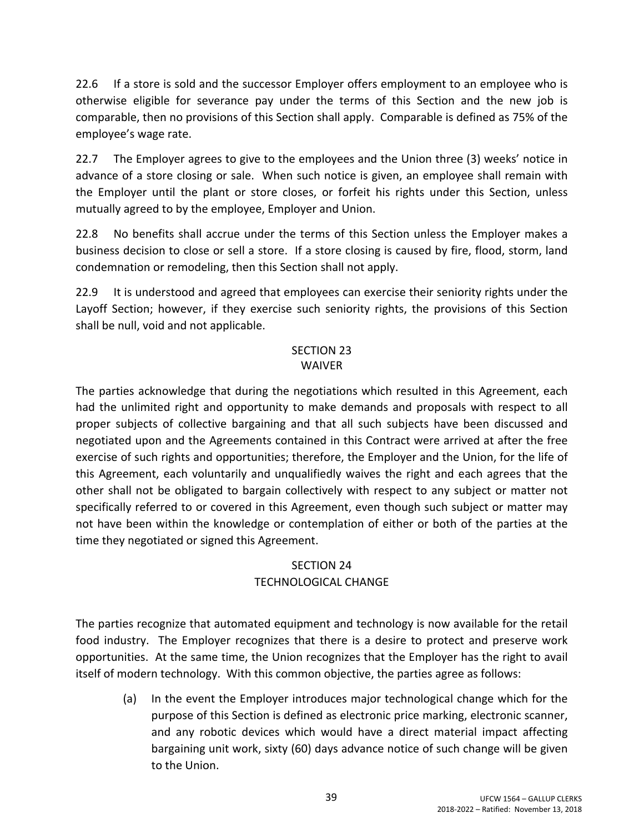22.6 If a store is sold and the successor Employer offers employment to an employee who is otherwise eligible for severance pay under the terms of this Section and the new job is comparable, then no provisions of this Section shall apply. Comparable is defined as 75% of the employee's wage rate.

22.7 The Employer agrees to give to the employees and the Union three (3) weeks' notice in advance of a store closing or sale. When such notice is given, an employee shall remain with the Employer until the plant or store closes, or forfeit his rights under this Section, unless mutually agreed to by the employee, Employer and Union.

22.8 No benefits shall accrue under the terms of this Section unless the Employer makes a business decision to close or sell a store. If a store closing is caused by fire, flood, storm, land condemnation or remodeling, then this Section shall not apply.

22.9 It is understood and agreed that employees can exercise their seniority rights under the Layoff Section; however, if they exercise such seniority rights, the provisions of this Section shall be null, void and not applicable.

### SECTION 23 WAIVER

The parties acknowledge that during the negotiations which resulted in this Agreement, each had the unlimited right and opportunity to make demands and proposals with respect to all proper subjects of collective bargaining and that all such subjects have been discussed and negotiated upon and the Agreements contained in this Contract were arrived at after the free exercise of such rights and opportunities; therefore, the Employer and the Union, for the life of this Agreement, each voluntarily and unqualifiedly waives the right and each agrees that the other shall not be obligated to bargain collectively with respect to any subject or matter not specifically referred to or covered in this Agreement, even though such subject or matter may not have been within the knowledge or contemplation of either or both of the parties at the time they negotiated or signed this Agreement.

## SECTION 24 TECHNOLOGICAL CHANGE

The parties recognize that automated equipment and technology is now available for the retail food industry. The Employer recognizes that there is a desire to protect and preserve work opportunities. At the same time, the Union recognizes that the Employer has the right to avail itself of modern technology. With this common objective, the parties agree as follows:

(a) In the event the Employer introduces major technological change which for the purpose of this Section is defined as electronic price marking, electronic scanner, and any robotic devices which would have a direct material impact affecting bargaining unit work, sixty (60) days advance notice of such change will be given to the Union.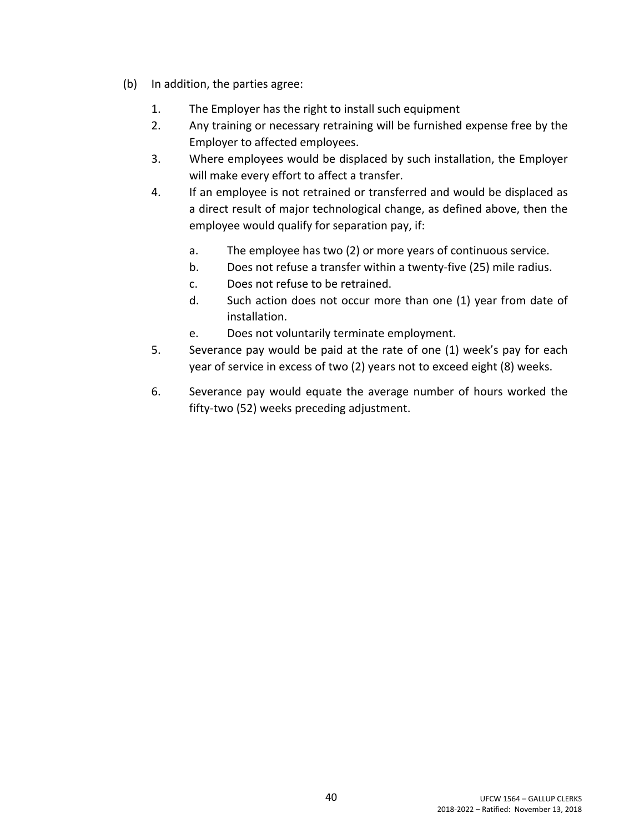- (b) In addition, the parties agree:
	- 1. The Employer has the right to install such equipment
	- 2. Any training or necessary retraining will be furnished expense free by the Employer to affected employees.
	- 3. Where employees would be displaced by such installation, the Employer will make every effort to affect a transfer.
	- 4. If an employee is not retrained or transferred and would be displaced as a direct result of major technological change, as defined above, then the employee would qualify for separation pay, if:
		- a. The employee has two (2) or more years of continuous service.
		- b. Does not refuse a transfer within a twenty-five (25) mile radius.
		- c. Does not refuse to be retrained.
		- d. Such action does not occur more than one (1) year from date of installation.
		- e. Does not voluntarily terminate employment.
	- 5. Severance pay would be paid at the rate of one (1) week's pay for each year of service in excess of two (2) years not to exceed eight (8) weeks.
	- 6. Severance pay would equate the average number of hours worked the fifty-two (52) weeks preceding adjustment.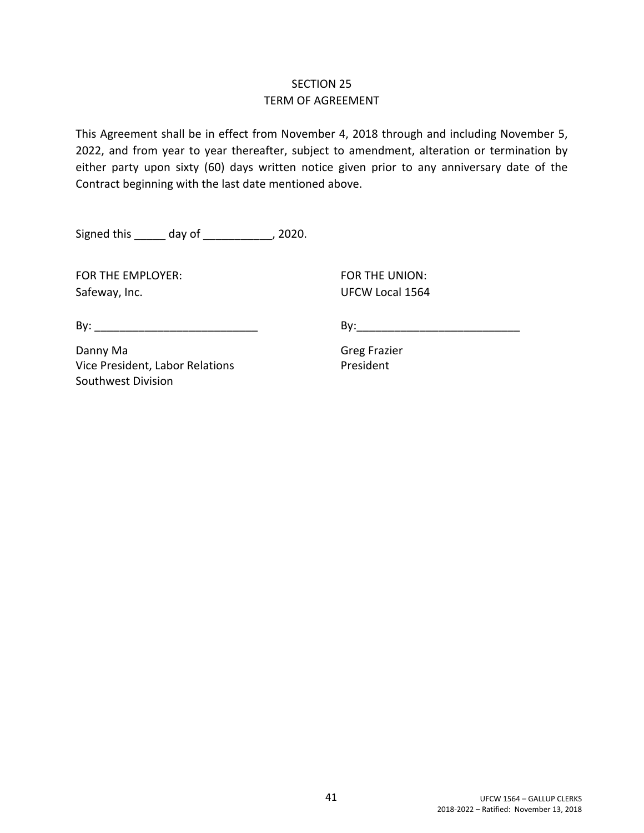## SECTION 25 TERM OF AGREEMENT

This Agreement shall be in effect from November 4, 2018 through and including November 5, 2022, and from year to year thereafter, subject to amendment, alteration or termination by either party upon sixty (60) days written notice given prior to any anniversary date of the Contract beginning with the last date mentioned above.

Signed this \_\_\_\_\_\_ day of \_\_\_\_\_\_\_\_\_\_\_, 2020.

FOR THE EMPLOYER: FOR THE UNION: Safeway, Inc. Safeway, Inc. Safeway, Inc. Safeway, Inc.

By: \_\_\_\_\_\_\_\_\_\_\_\_\_\_\_\_\_\_\_\_\_\_\_\_\_\_ By:\_\_\_\_\_\_\_\_\_\_\_\_\_\_\_\_\_\_\_\_\_\_\_\_\_\_

Danny Ma Greg Frazier Vice President, Labor Relations President Southwest Division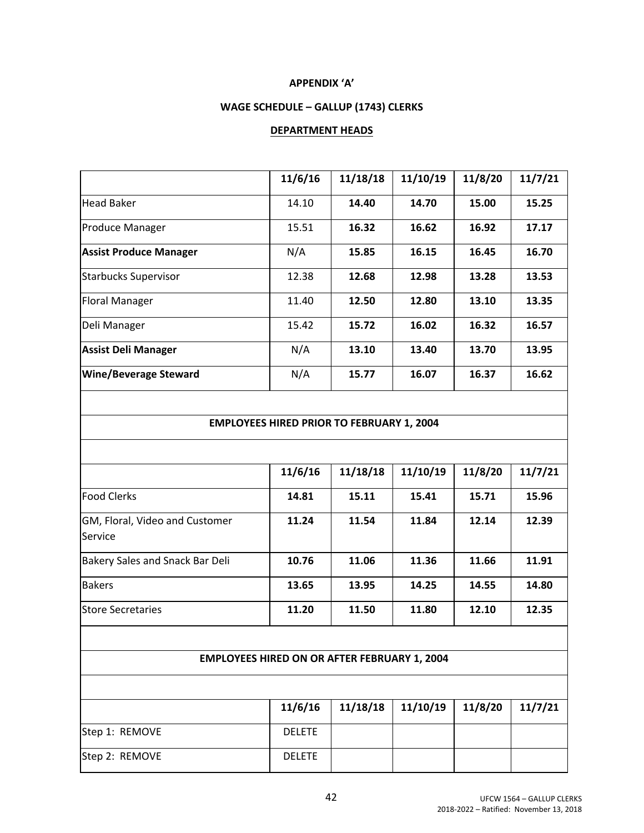#### **APPENDIX 'A'**

### **WAGE SCHEDULE – GALLUP (1743) CLERKS**

#### **DEPARTMENT HEADS**

|                               | 11/6/16 | 11/18/18 | 11/10/19 | 11/8/20 | 11/7/21 |
|-------------------------------|---------|----------|----------|---------|---------|
| Head Baker                    | 14.10   | 14.40    | 14.70    | 15.00   | 15.25   |
| <b>Produce Manager</b>        | 15.51   | 16.32    | 16.62    | 16.92   | 17.17   |
| <b>Assist Produce Manager</b> | N/A     | 15.85    | 16.15    | 16.45   | 16.70   |
| <b>Starbucks Supervisor</b>   | 12.38   | 12.68    | 12.98    | 13.28   | 13.53   |
| <b>Floral Manager</b>         | 11.40   | 12.50    | 12.80    | 13.10   | 13.35   |
| Deli Manager                  | 15.42   | 15.72    | 16.02    | 16.32   | 16.57   |
| <b>Assist Deli Manager</b>    | N/A     | 13.10    | 13.40    | 13.70   | 13.95   |
| <b>Wine/Beverage Steward</b>  | N/A     | 15.77    | 16.07    | 16.37   | 16.62   |
|                               |         |          |          |         |         |

#### **EMPLOYEES HIRED PRIOR TO FEBRUARY 1, 2004**

|                                           | 11/6/16 | 11/18/18 | 11/10/19 | 11/8/20 | 11/7/21 |
|-------------------------------------------|---------|----------|----------|---------|---------|
| <b>Food Clerks</b>                        | 14.81   | 15.11    | 15.41    | 15.71   | 15.96   |
| GM, Floral, Video and Customer<br>Service | 11.24   | 11.54    | 11.84    | 12.14   | 12.39   |
| Bakery Sales and Snack Bar Deli           | 10.76   | 11.06    | 11.36    | 11.66   | 11.91   |
| <b>Bakers</b>                             | 13.65   | 13.95    | 14.25    | 14.55   | 14.80   |
| Store Secretaries                         | 11.20   | 11.50    | 11.80    | 12.10   | 12.35   |

#### **EMPLOYEES HIRED ON OR AFTER FEBRUARY 1, 2004**

|                | 11/6/16       | $11/18/18$ 11/10/19 | 11/8/20 | 11/7/21 |
|----------------|---------------|---------------------|---------|---------|
| Step 1: REMOVE | <b>DELETE</b> |                     |         |         |
| Step 2: REMOVE | <b>DELETE</b> |                     |         |         |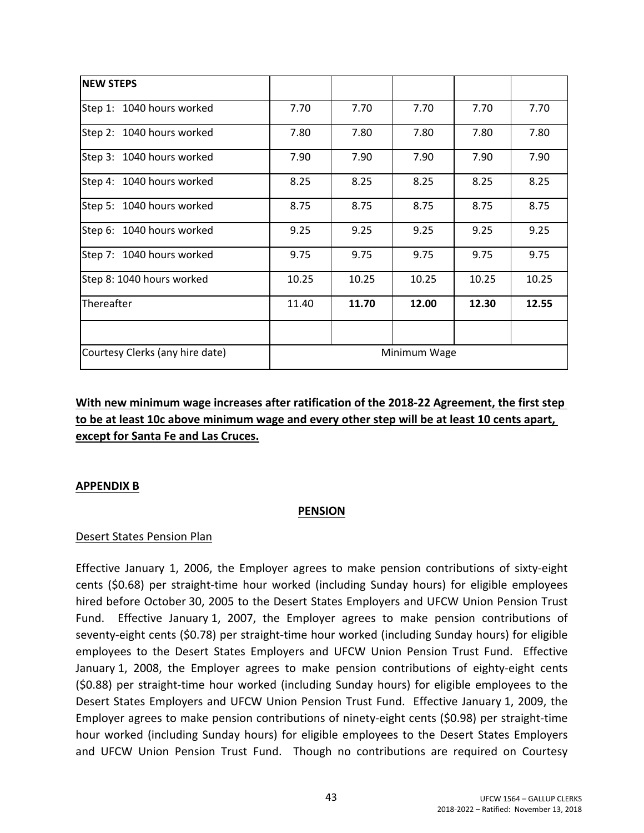| <b>NEW STEPS</b>                |              |       |       |       |       |  |  |  |
|---------------------------------|--------------|-------|-------|-------|-------|--|--|--|
| Step 1: 1040 hours worked       | 7.70         | 7.70  | 7.70  | 7.70  | 7.70  |  |  |  |
| Step 2: 1040 hours worked       | 7.80         | 7.80  | 7.80  | 7.80  | 7.80  |  |  |  |
| Step 3: 1040 hours worked       | 7.90         | 7.90  | 7.90  | 7.90  | 7.90  |  |  |  |
| Step 4: 1040 hours worked       | 8.25         | 8.25  | 8.25  | 8.25  | 8.25  |  |  |  |
| Step 5: 1040 hours worked       | 8.75         | 8.75  | 8.75  | 8.75  | 8.75  |  |  |  |
| Step 6: 1040 hours worked       | 9.25         | 9.25  | 9.25  | 9.25  | 9.25  |  |  |  |
| Step 7: 1040 hours worked       | 9.75         | 9.75  | 9.75  | 9.75  | 9.75  |  |  |  |
| Step 8: 1040 hours worked       | 10.25        | 10.25 | 10.25 | 10.25 | 10.25 |  |  |  |
| Thereafter                      | 11.40        | 11.70 | 12.00 | 12.30 | 12.55 |  |  |  |
|                                 |              |       |       |       |       |  |  |  |
| Courtesy Clerks (any hire date) | Minimum Wage |       |       |       |       |  |  |  |

## **With new minimum wage increases after ratification of the 2018-22 Agreement, the first step to be at least 10c above minimum wage and every other step will be at least 10 cents apart, except for Santa Fe and Las Cruces.**

#### **APPENDIX B**

#### **PENSION**

#### Desert States Pension Plan

Effective January 1, 2006, the Employer agrees to make pension contributions of sixty-eight cents (\$0.68) per straight-time hour worked (including Sunday hours) for eligible employees hired before October 30, 2005 to the Desert States Employers and UFCW Union Pension Trust Fund. Effective January 1, 2007, the Employer agrees to make pension contributions of seventy-eight cents (\$0.78) per straight-time hour worked (including Sunday hours) for eligible employees to the Desert States Employers and UFCW Union Pension Trust Fund. Effective January 1, 2008, the Employer agrees to make pension contributions of eighty-eight cents (\$0.88) per straight-time hour worked (including Sunday hours) for eligible employees to the Desert States Employers and UFCW Union Pension Trust Fund. Effective January 1, 2009, the Employer agrees to make pension contributions of ninety-eight cents (\$0.98) per straight-time hour worked (including Sunday hours) for eligible employees to the Desert States Employers and UFCW Union Pension Trust Fund. Though no contributions are required on Courtesy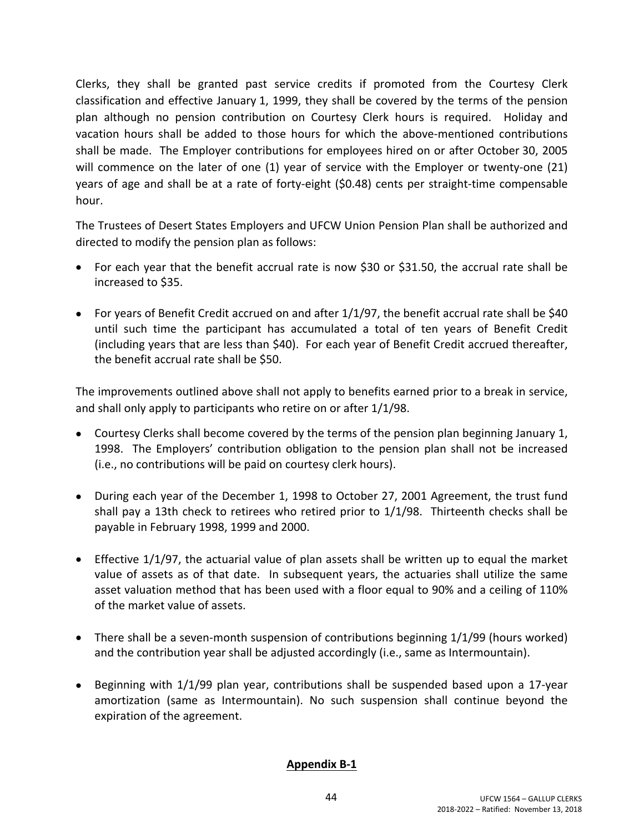Clerks, they shall be granted past service credits if promoted from the Courtesy Clerk classification and effective January 1, 1999, they shall be covered by the terms of the pension plan although no pension contribution on Courtesy Clerk hours is required. Holiday and vacation hours shall be added to those hours for which the above-mentioned contributions shall be made. The Employer contributions for employees hired on or after October 30, 2005 will commence on the later of one (1) year of service with the Employer or twenty-one (21) years of age and shall be at a rate of forty-eight (\$0.48) cents per straight-time compensable hour.

The Trustees of Desert States Employers and UFCW Union Pension Plan shall be authorized and directed to modify the pension plan as follows:

- For each year that the benefit accrual rate is now \$30 or \$31.50, the accrual rate shall be increased to \$35.
- For years of Benefit Credit accrued on and after 1/1/97, the benefit accrual rate shall be \$40 until such time the participant has accumulated a total of ten years of Benefit Credit (including years that are less than \$40). For each year of Benefit Credit accrued thereafter, the benefit accrual rate shall be \$50.

The improvements outlined above shall not apply to benefits earned prior to a break in service, and shall only apply to participants who retire on or after 1/1/98.

- Courtesy Clerks shall become covered by the terms of the pension plan beginning January 1, 1998. The Employers' contribution obligation to the pension plan shall not be increased (i.e., no contributions will be paid on courtesy clerk hours).
- During each year of the December 1, 1998 to October 27, 2001 Agreement, the trust fund shall pay a 13th check to retirees who retired prior to 1/1/98. Thirteenth checks shall be payable in February 1998, 1999 and 2000.
- Effective 1/1/97, the actuarial value of plan assets shall be written up to equal the market value of assets as of that date. In subsequent years, the actuaries shall utilize the same asset valuation method that has been used with a floor equal to 90% and a ceiling of 110% of the market value of assets.
- There shall be a seven-month suspension of contributions beginning 1/1/99 (hours worked) and the contribution year shall be adjusted accordingly (i.e., same as Intermountain).
- **•** Beginning with  $1/1/99$  plan year, contributions shall be suspended based upon a 17-year amortization (same as Intermountain). No such suspension shall continue beyond the expiration of the agreement.

### **Appendix B-1**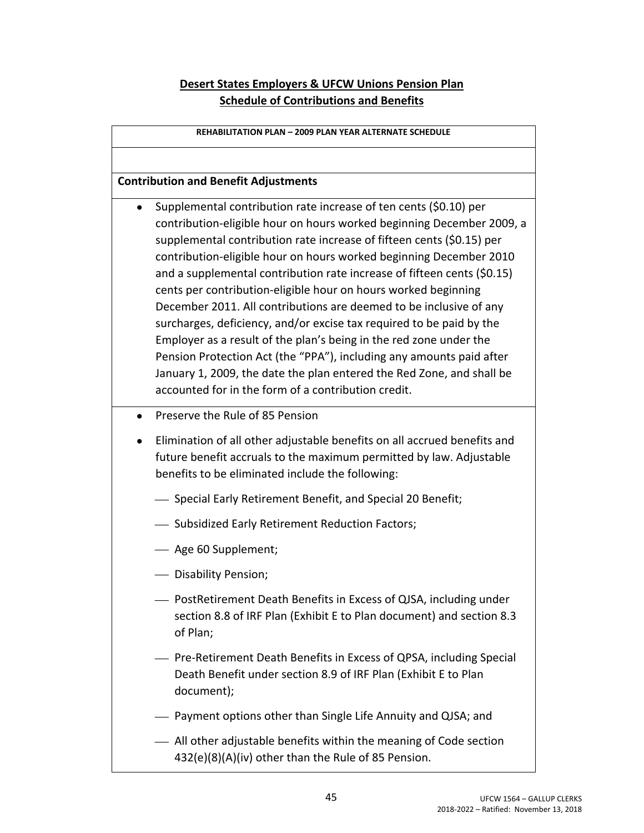## **Desert States Employers & UFCW Unions Pension Plan Schedule of Contributions and Benefits**

| <b>REHABILITATION PLAN - 2009 PLAN YEAR ALTERNATE SCHEDULE</b>                                                                                                                                                                                                                                                                                                                                                                                                                                                                                                                                                                                                                                                                                                                                                                                                     |
|--------------------------------------------------------------------------------------------------------------------------------------------------------------------------------------------------------------------------------------------------------------------------------------------------------------------------------------------------------------------------------------------------------------------------------------------------------------------------------------------------------------------------------------------------------------------------------------------------------------------------------------------------------------------------------------------------------------------------------------------------------------------------------------------------------------------------------------------------------------------|
|                                                                                                                                                                                                                                                                                                                                                                                                                                                                                                                                                                                                                                                                                                                                                                                                                                                                    |
| <b>Contribution and Benefit Adjustments</b>                                                                                                                                                                                                                                                                                                                                                                                                                                                                                                                                                                                                                                                                                                                                                                                                                        |
| Supplemental contribution rate increase of ten cents (\$0.10) per<br>contribution-eligible hour on hours worked beginning December 2009, a<br>supplemental contribution rate increase of fifteen cents (\$0.15) per<br>contribution-eligible hour on hours worked beginning December 2010<br>and a supplemental contribution rate increase of fifteen cents (\$0.15)<br>cents per contribution-eligible hour on hours worked beginning<br>December 2011. All contributions are deemed to be inclusive of any<br>surcharges, deficiency, and/or excise tax required to be paid by the<br>Employer as a result of the plan's being in the red zone under the<br>Pension Protection Act (the "PPA"), including any amounts paid after<br>January 1, 2009, the date the plan entered the Red Zone, and shall be<br>accounted for in the form of a contribution credit. |
| Preserve the Rule of 85 Pension<br>$\bullet$<br>Elimination of all other adjustable benefits on all accrued benefits and<br>future benefit accruals to the maximum permitted by law. Adjustable<br>benefits to be eliminated include the following:<br>- Special Early Retirement Benefit, and Special 20 Benefit;                                                                                                                                                                                                                                                                                                                                                                                                                                                                                                                                                 |
| - Subsidized Early Retirement Reduction Factors;                                                                                                                                                                                                                                                                                                                                                                                                                                                                                                                                                                                                                                                                                                                                                                                                                   |
| - Age 60 Supplement;                                                                                                                                                                                                                                                                                                                                                                                                                                                                                                                                                                                                                                                                                                                                                                                                                                               |
| Disability Pension;                                                                                                                                                                                                                                                                                                                                                                                                                                                                                                                                                                                                                                                                                                                                                                                                                                                |
| - PostRetirement Death Benefits in Excess of QJSA, including under<br>section 8.8 of IRF Plan (Exhibit E to Plan document) and section 8.3<br>of Plan;                                                                                                                                                                                                                                                                                                                                                                                                                                                                                                                                                                                                                                                                                                             |
| - Pre-Retirement Death Benefits in Excess of QPSA, including Special<br>Death Benefit under section 8.9 of IRF Plan (Exhibit E to Plan<br>document);                                                                                                                                                                                                                                                                                                                                                                                                                                                                                                                                                                                                                                                                                                               |
| - Payment options other than Single Life Annuity and QJSA; and                                                                                                                                                                                                                                                                                                                                                                                                                                                                                                                                                                                                                                                                                                                                                                                                     |
| All other adjustable benefits within the meaning of Code section                                                                                                                                                                                                                                                                                                                                                                                                                                                                                                                                                                                                                                                                                                                                                                                                   |

432(e)(8)(A)(iv) other than the Rule of 85 Pension.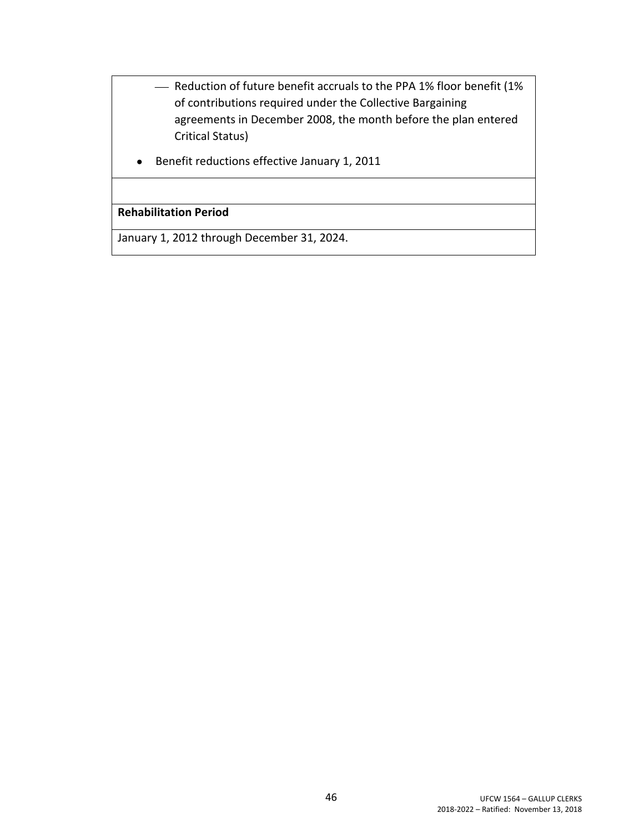- Reduction of future benefit accruals to the PPA 1% floor benefit (1% of contributions required under the Collective Bargaining agreements in December 2008, the month before the plan entered Critical Status)
- Benefit reductions effective January 1, 2011

### **Rehabilitation Period**

January 1, 2012 through December 31, 2024.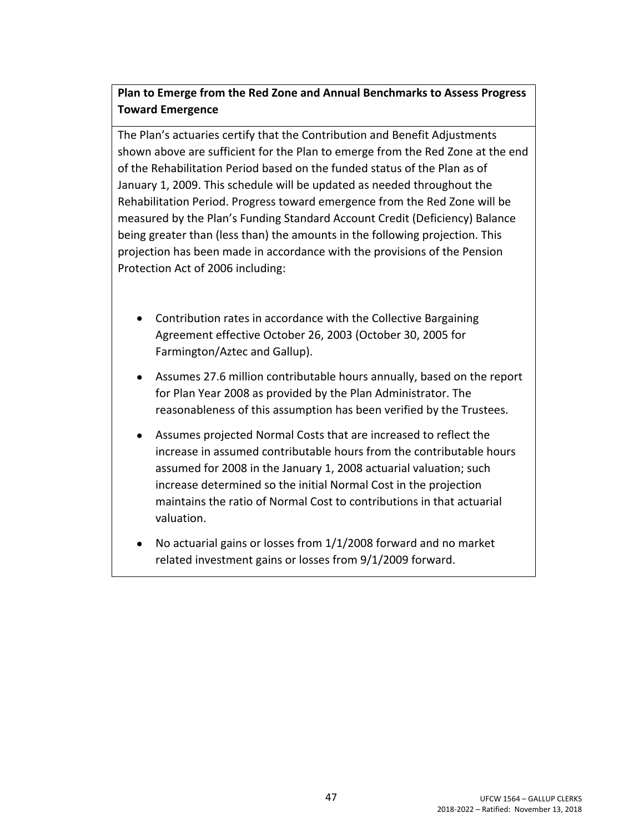## **Plan to Emerge from the Red Zone and Annual Benchmarks to Assess Progress Toward Emergence**

The Plan's actuaries certify that the Contribution and Benefit Adjustments shown above are sufficient for the Plan to emerge from the Red Zone at the end of the Rehabilitation Period based on the funded status of the Plan as of January 1, 2009. This schedule will be updated as needed throughout the Rehabilitation Period. Progress toward emergence from the Red Zone will be measured by the Plan's Funding Standard Account Credit (Deficiency) Balance being greater than (less than) the amounts in the following projection. This projection has been made in accordance with the provisions of the Pension Protection Act of 2006 including:

- Contribution rates in accordance with the Collective Bargaining Agreement effective October 26, 2003 (October 30, 2005 for Farmington/Aztec and Gallup).
- Assumes 27.6 million contributable hours annually, based on the report for Plan Year 2008 as provided by the Plan Administrator. The reasonableness of this assumption has been verified by the Trustees.
- Assumes projected Normal Costs that are increased to reflect the increase in assumed contributable hours from the contributable hours assumed for 2008 in the January 1, 2008 actuarial valuation; such increase determined so the initial Normal Cost in the projection maintains the ratio of Normal Cost to contributions in that actuarial valuation.
- No actuarial gains or losses from 1/1/2008 forward and no market related investment gains or losses from 9/1/2009 forward.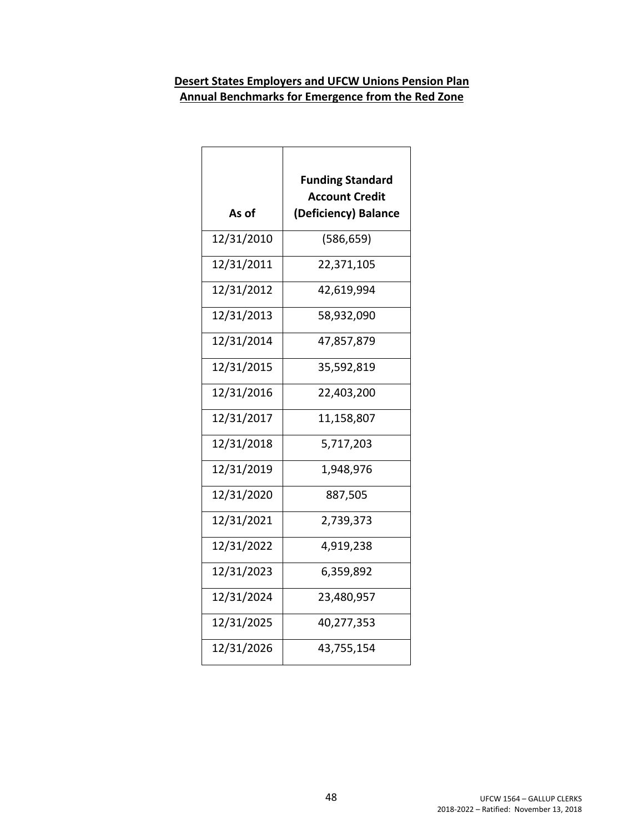## **Desert States Employers and UFCW Unions Pension Plan Annual Benchmarks for Emergence from the Red Zone**

| <b>Funding Standard</b><br><b>Account Credit</b><br>(Deficiency) Balance |
|--------------------------------------------------------------------------|
| (586, 659)                                                               |
| 22,371,105                                                               |
| 42,619,994                                                               |
| 58,932,090                                                               |
| 47,857,879                                                               |
| 35,592,819                                                               |
| 22,403,200                                                               |
| 11,158,807                                                               |
| 5,717,203                                                                |
| 1,948,976                                                                |
| 887,505                                                                  |
| 2,739,373                                                                |
| 4,919,238                                                                |
| 6,359,892                                                                |
| 23,480,957                                                               |
| 40,277,353                                                               |
| 43,755,154                                                               |
|                                                                          |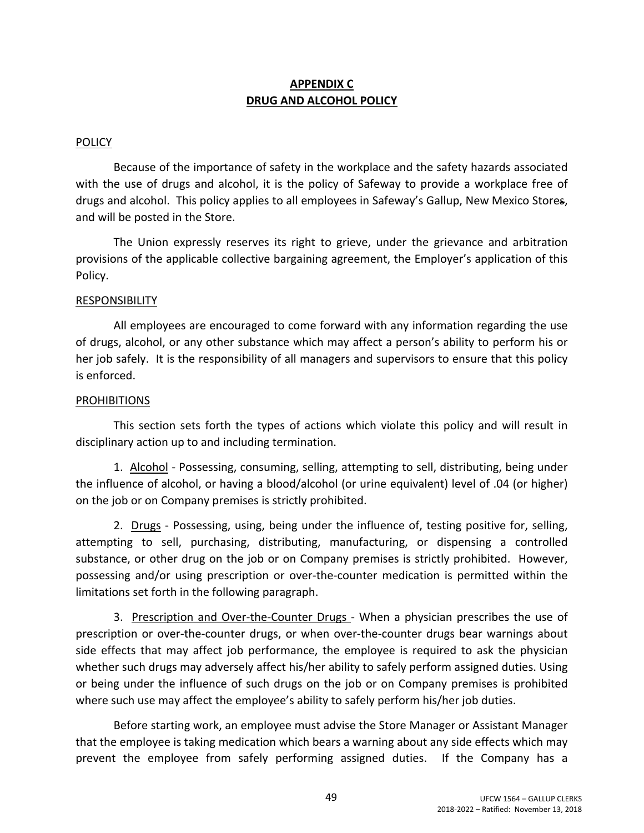## **APPENDIX C DRUG AND ALCOHOL POLICY**

### POLICY

Because of the importance of safety in the workplace and the safety hazards associated with the use of drugs and alcohol, it is the policy of Safeway to provide a workplace free of drugs and alcohol. This policy applies to all employees in Safeway's Gallup, New Mexico Stores, and will be posted in the Store.

The Union expressly reserves its right to grieve, under the grievance and arbitration provisions of the applicable collective bargaining agreement, the Employer's application of this Policy.

#### RESPONSIBILITY

All employees are encouraged to come forward with any information regarding the use of drugs, alcohol, or any other substance which may affect a person's ability to perform his or her job safely. It is the responsibility of all managers and supervisors to ensure that this policy is enforced.

#### PROHIBITIONS

This section sets forth the types of actions which violate this policy and will result in disciplinary action up to and including termination.

1. Alcohol - Possessing, consuming, selling, attempting to sell, distributing, being under the influence of alcohol, or having a blood/alcohol (or urine equivalent) level of .04 (or higher) on the job or on Company premises is strictly prohibited.

2. Drugs - Possessing, using, being under the influence of, testing positive for, selling, attempting to sell, purchasing, distributing, manufacturing, or dispensing a controlled substance, or other drug on the job or on Company premises is strictly prohibited. However, possessing and/or using prescription or over-the-counter medication is permitted within the limitations set forth in the following paragraph.

3. Prescription and Over-the-Counter Drugs - When a physician prescribes the use of prescription or over-the-counter drugs, or when over-the-counter drugs bear warnings about side effects that may affect job performance, the employee is required to ask the physician whether such drugs may adversely affect his/her ability to safely perform assigned duties. Using or being under the influence of such drugs on the job or on Company premises is prohibited where such use may affect the employee's ability to safely perform his/her job duties.

Before starting work, an employee must advise the Store Manager or Assistant Manager that the employee is taking medication which bears a warning about any side effects which may prevent the employee from safely performing assigned duties. If the Company has a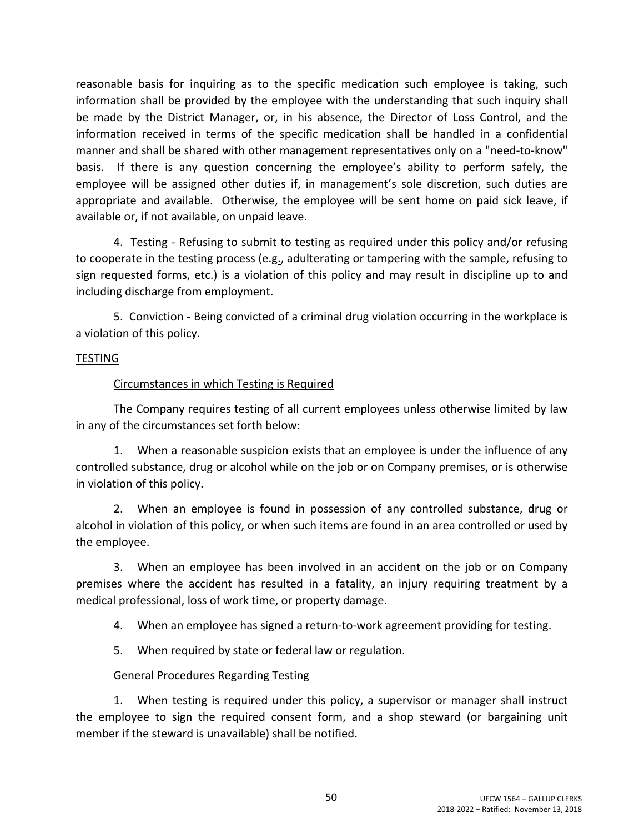reasonable basis for inquiring as to the specific medication such employee is taking, such information shall be provided by the employee with the understanding that such inquiry shall be made by the District Manager, or, in his absence, the Director of Loss Control, and the information received in terms of the specific medication shall be handled in a confidential manner and shall be shared with other management representatives only on a "need-to-know" basis. If there is any question concerning the employee's ability to perform safely, the employee will be assigned other duties if, in management's sole discretion, such duties are appropriate and available. Otherwise, the employee will be sent home on paid sick leave, if available or, if not available, on unpaid leave.

4. Testing - Refusing to submit to testing as required under this policy and/or refusing to cooperate in the testing process (e.g., adulterating or tampering with the sample, refusing to sign requested forms, etc.) is a violation of this policy and may result in discipline up to and including discharge from employment.

5. Conviction - Being convicted of a criminal drug violation occurring in the workplace is a violation of this policy.

### **TESTING**

### Circumstances in which Testing is Required

The Company requires testing of all current employees unless otherwise limited by law in any of the circumstances set forth below:

1. When a reasonable suspicion exists that an employee is under the influence of any controlled substance, drug or alcohol while on the job or on Company premises, or is otherwise in violation of this policy.

2. When an employee is found in possession of any controlled substance, drug or alcohol in violation of this policy, or when such items are found in an area controlled or used by the employee.

3. When an employee has been involved in an accident on the job or on Company premises where the accident has resulted in a fatality, an injury requiring treatment by a medical professional, loss of work time, or property damage.

- 4. When an employee has signed a return-to-work agreement providing for testing.
- 5. When required by state or federal law or regulation.

### General Procedures Regarding Testing

1. When testing is required under this policy, a supervisor or manager shall instruct the employee to sign the required consent form, and a shop steward (or bargaining unit member if the steward is unavailable) shall be notified.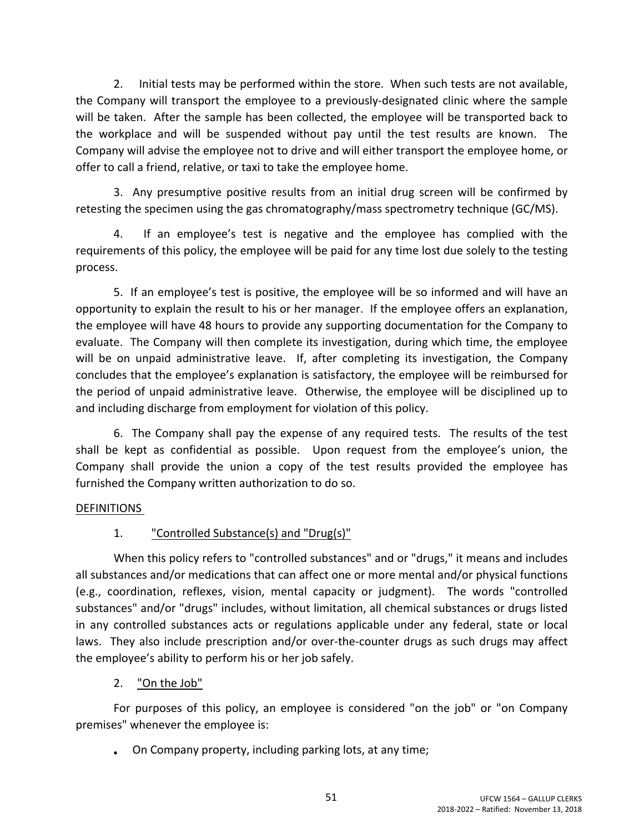2. Initial tests may be performed within the store. When such tests are not available, the Company will transport the employee to a previously-designated clinic where the sample will be taken. After the sample has been collected, the employee will be transported back to the workplace and will be suspended without pay until the test results are known. The Company will advise the employee not to drive and will either transport the employee home, or offer to call a friend, relative, or taxi to take the employee home.

3. Any presumptive positive results from an initial drug screen will be confirmed by retesting the specimen using the gas chromatography/mass spectrometry technique (GC/MS).

4. If an employee's test is negative and the employee has complied with the requirements of this policy, the employee will be paid for any time lost due solely to the testing process.

5. If an employee's test is positive, the employee will be so informed and will have an opportunity to explain the result to his or her manager. If the employee offers an explanation, the employee will have 48 hours to provide any supporting documentation for the Company to evaluate. The Company will then complete its investigation, during which time, the employee will be on unpaid administrative leave. If, after completing its investigation, the Company concludes that the employee's explanation is satisfactory, the employee will be reimbursed for the period of unpaid administrative leave. Otherwise, the employee will be disciplined up to and including discharge from employment for violation of this policy.

6. The Company shall pay the expense of any required tests. The results of the test shall be kept as confidential as possible. Upon request from the employee's union, the Company shall provide the union a copy of the test results provided the employee has furnished the Company written authorization to do so.

### DEFINITIONS

## 1. **Controlled Substance(s) and "Drug(s)"**

When this policy refers to "controlled substances" and or "drugs," it means and includes all substances and/or medications that can affect one or more mental and/or physical functions (e.g., coordination, reflexes, vision, mental capacity or judgment). The words "controlled substances" and/or "drugs" includes, without limitation, all chemical substances or drugs listed in any controlled substances acts or regulations applicable under any federal, state or local laws. They also include prescription and/or over-the-counter drugs as such drugs may affect the employee's ability to perform his or her job safely.

2. "On the Job"

For purposes of this policy, an employee is considered "on the job" or "on Company premises" whenever the employee is:

On Company property, including parking lots, at any time;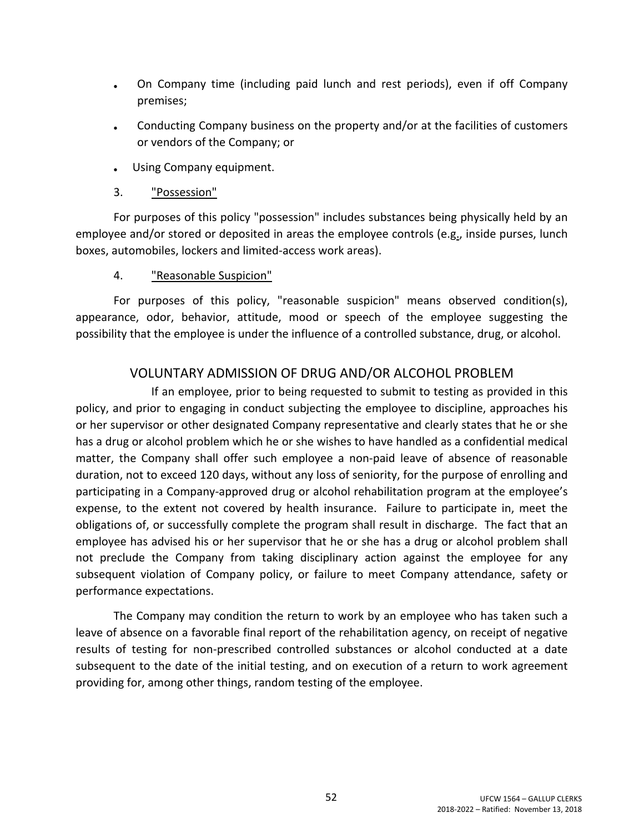- On Company time (including paid lunch and rest periods), even if off Company premises;
- Conducting Company business on the property and/or at the facilities of customers or vendors of the Company; or
- Using Company equipment.
- 3. "Possession"

For purposes of this policy "possession" includes substances being physically held by an employee and/or stored or deposited in areas the employee controls (e.g., inside purses, lunch boxes, automobiles, lockers and limited-access work areas).

4. "Reasonable Suspicion"

For purposes of this policy, "reasonable suspicion" means observed condition(s), appearance, odor, behavior, attitude, mood or speech of the employee suggesting the possibility that the employee is under the influence of a controlled substance, drug, or alcohol.

## VOLUNTARY ADMISSION OF DRUG AND/OR ALCOHOL PROBLEM

If an employee, prior to being requested to submit to testing as provided in this policy, and prior to engaging in conduct subjecting the employee to discipline, approaches his or her supervisor or other designated Company representative and clearly states that he or she has a drug or alcohol problem which he or she wishes to have handled as a confidential medical matter, the Company shall offer such employee a non-paid leave of absence of reasonable duration, not to exceed 120 days, without any loss of seniority, for the purpose of enrolling and participating in a Company-approved drug or alcohol rehabilitation program at the employee's expense, to the extent not covered by health insurance. Failure to participate in, meet the obligations of, or successfully complete the program shall result in discharge. The fact that an employee has advised his or her supervisor that he or she has a drug or alcohol problem shall not preclude the Company from taking disciplinary action against the employee for any subsequent violation of Company policy, or failure to meet Company attendance, safety or performance expectations.

The Company may condition the return to work by an employee who has taken such a leave of absence on a favorable final report of the rehabilitation agency, on receipt of negative results of testing for non-prescribed controlled substances or alcohol conducted at a date subsequent to the date of the initial testing, and on execution of a return to work agreement providing for, among other things, random testing of the employee.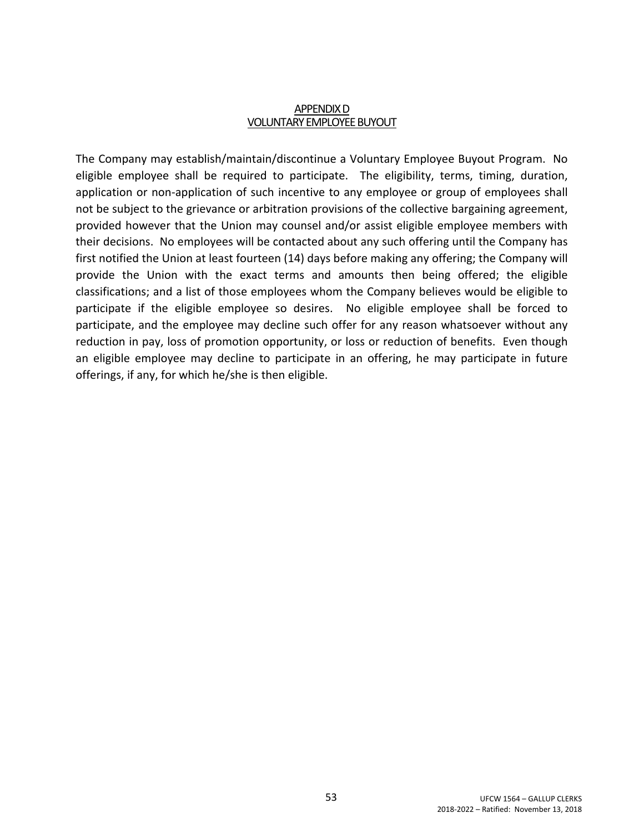#### APPENDIXD **VOLUNTARY EMPLOYEE BUYOUT**

The Company may establish/maintain/discontinue a Voluntary Employee Buyout Program. No eligible employee shall be required to participate. The eligibility, terms, timing, duration, application or non-application of such incentive to any employee or group of employees shall not be subject to the grievance or arbitration provisions of the collective bargaining agreement, provided however that the Union may counsel and/or assist eligible employee members with their decisions. No employees will be contacted about any such offering until the Company has first notified the Union at least fourteen (14) days before making any offering; the Company will provide the Union with the exact terms and amounts then being offered; the eligible classifications; and a list of those employees whom the Company believes would be eligible to participate if the eligible employee so desires. No eligible employee shall be forced to participate, and the employee may decline such offer for any reason whatsoever without any reduction in pay, loss of promotion opportunity, or loss or reduction of benefits. Even though an eligible employee may decline to participate in an offering, he may participate in future offerings, if any, for which he/she is then eligible.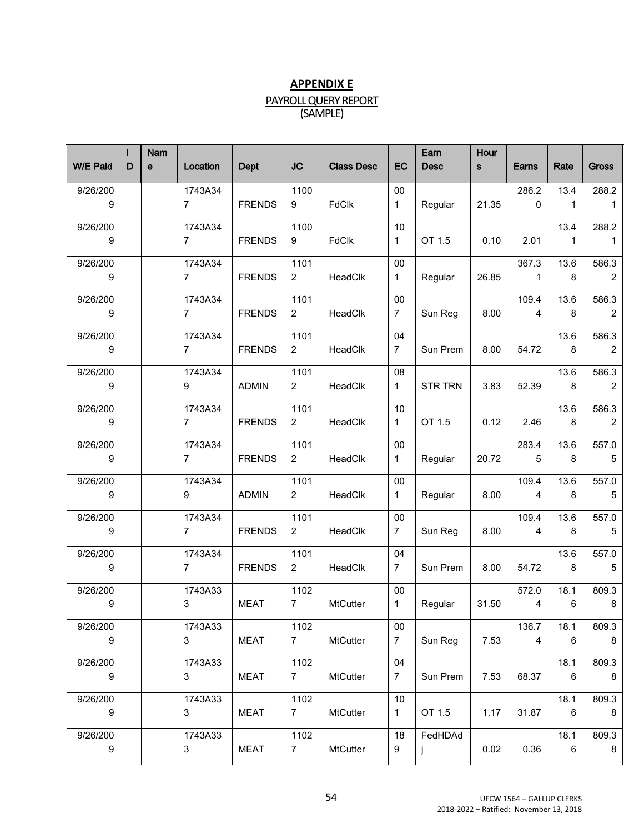### **APPENDIX E**

# PAYROLL QUERY REPORT

(SAMPLE)

| $\mathbf e$                                                                                                                                                                                                                                                                  | Location                  | Dept          | <b>JC</b>              | <b>Class Desc</b> | EC                    | Earn<br><b>Desc</b> | Hour<br><b>S</b> | Earns                   | Rate                 | <b>Gross</b>             |
|------------------------------------------------------------------------------------------------------------------------------------------------------------------------------------------------------------------------------------------------------------------------------|---------------------------|---------------|------------------------|-------------------|-----------------------|---------------------|------------------|-------------------------|----------------------|--------------------------|
|                                                                                                                                                                                                                                                                              | 1743A34<br>7              | <b>FRENDS</b> | 1100<br>9              | <b>FdClk</b>      | 00<br>$\mathbf{1}$    | Regular             | 21.35            | 286.2<br>$\Omega$       | 13.4<br>$\mathbf{1}$ | 288.2<br>1               |
|                                                                                                                                                                                                                                                                              | 1743A34<br>$7^{\circ}$    | <b>FRENDS</b> | 1100<br>9              | <b>FdClk</b>      | 10<br>$\mathbf{1}$    | OT 1.5              | 0.10             | 2.01                    | 13.4<br>$\mathbf{1}$ | 288.2<br>1               |
|                                                                                                                                                                                                                                                                              | 1743A34<br>7 <sup>7</sup> | <b>FRENDS</b> | 1101<br>$2^{\circ}$    | HeadClk           | 00<br>$\mathbf{1}$    | Regular             | 26.85            | 367.3<br>$\overline{1}$ | 13.6<br>8            | 586.3<br>$\overline{2}$  |
|                                                                                                                                                                                                                                                                              | 1743A34<br>7 <sup>7</sup> | <b>FRENDS</b> | 1101<br>$2^{\circ}$    | HeadClk           | 00<br>7 <sup>7</sup>  | Sun Reg             | 8.00             | 109.4<br>$\overline{4}$ | 13.6<br>8            | 586.3<br>$\overline{2}$  |
|                                                                                                                                                                                                                                                                              | 1743A34<br>7              | <b>FRENDS</b> | 1101<br>$2^{\circ}$    | HeadClk           | 04<br>$\overline{7}$  | Sun Prem            | 8.00             | 54.72                   | 13.6<br>8            | 586.3<br>$\overline{2}$  |
|                                                                                                                                                                                                                                                                              | 1743A34<br>9              | <b>ADMIN</b>  | 1101<br>$2^{\circ}$    | HeadClk           | 08<br>$\mathbf{1}$    | STR TRN             | 3.83             | 52.39                   | 13.6<br>8            | 586.3<br>2               |
|                                                                                                                                                                                                                                                                              | 1743A34<br>7              | <b>FRENDS</b> | 1101<br>$2^{\circ}$    | HeadClk           | 10<br>$\mathbf{1}$    | OT 1.5              | 0.12             | 2.46                    | 13.6<br>8            | 586.3<br>$\overline{2}$  |
|                                                                                                                                                                                                                                                                              | 1743A34<br>7              | <b>FRENDS</b> | 1101<br>$2^{\circ}$    | HeadClk           | 00<br>$\mathbf{1}$    | Regular             | 20.72            | 283.4<br>5 <sup>5</sup> | 13.6<br>8            | 557.0<br>$5\phantom{.0}$ |
|                                                                                                                                                                                                                                                                              | 1743A34<br>9              | <b>ADMIN</b>  | 1101<br>$2^{\circ}$    | HeadClk           | 00<br>$\mathbf{1}$    | Regular             | 8.00             | 109.4<br>$\overline{4}$ | 13.6<br>8            | 557.0<br>5               |
|                                                                                                                                                                                                                                                                              | 1743A34<br>7              | <b>FRENDS</b> | 1101<br>$2^{\circ}$    | HeadClk           | 00<br>$7\overline{ }$ | Sun Reg             | 8.00             | 109.4<br>$\overline{4}$ | 13.6<br>8            | 557.0<br>$5\phantom{.0}$ |
|                                                                                                                                                                                                                                                                              | 1743A34<br>$7^{\circ}$    | <b>FRENDS</b> | 1101<br>$2^{\circ}$    | HeadClk           | 04<br>$7^{\circ}$     | Sun Prem            | 8.00             | 54.72                   | 13.6<br>8            | 557.0<br>$5\phantom{.0}$ |
|                                                                                                                                                                                                                                                                              | 1743A33<br>3 <sup>1</sup> | MEAT          | 1102<br>7 <sup>7</sup> | <b>MtCutter</b>   | 00<br>$\mathbf{1}$    | Regular             | 31.50            | 572.0<br>$\overline{4}$ | 18.1<br>6            | 809.3<br>8               |
|                                                                                                                                                                                                                                                                              | 1743A33<br>3 <sup>1</sup> | MEAT          | 1102<br>7 <sup>7</sup> | <b>MtCutter</b>   | 00<br>$7\overline{ }$ | Sun Reg             | 7.53             | 136.7<br>$\overline{4}$ | 18.1<br>6            | 809.3<br>8               |
|                                                                                                                                                                                                                                                                              | 1743A33<br>3 <sup>1</sup> | <b>MEAT</b>   | 1102<br>7 <sup>7</sup> | <b>MtCutter</b>   | 04<br>$7\overline{ }$ | Sun Prem            | 7.53             | 68.37                   | 18.1<br>6            | 809.3<br>8               |
|                                                                                                                                                                                                                                                                              | 1743A33<br>3 <sup>7</sup> | <b>MEAT</b>   | 1102<br>$7^{\circ}$    | <b>MtCutter</b>   | 10<br>$\mathbf{1}$    | OT 1.5              | 1.17             | 31.87                   | 18.1<br>6            | 809.3<br>8               |
|                                                                                                                                                                                                                                                                              | 1743A33<br>3              | <b>MEAT</b>   | 1102<br>$\overline{7}$ | <b>MtCutter</b>   | 18<br>9               | FedHDAd<br>j        | 0.02             | 0.36                    | 18.1<br>6            | 809.3<br>8               |
| 9/26/200<br>9<br>9/26/200<br>9<br>9/26/200<br>9<br>9/26/200<br>9<br>9/26/200<br>9<br>9/26/200<br>9<br>9/26/200<br>9<br>9/26/200<br>9<br>9/26/200<br>9<br>9/26/200<br>9<br>9/26/200<br>9<br>9/26/200<br>9<br>9/26/200<br>9<br>9/26/200<br>9<br>9/26/200<br>9<br>9/26/200<br>9 |                           |               |                        |                   |                       |                     |                  |                         |                      |                          |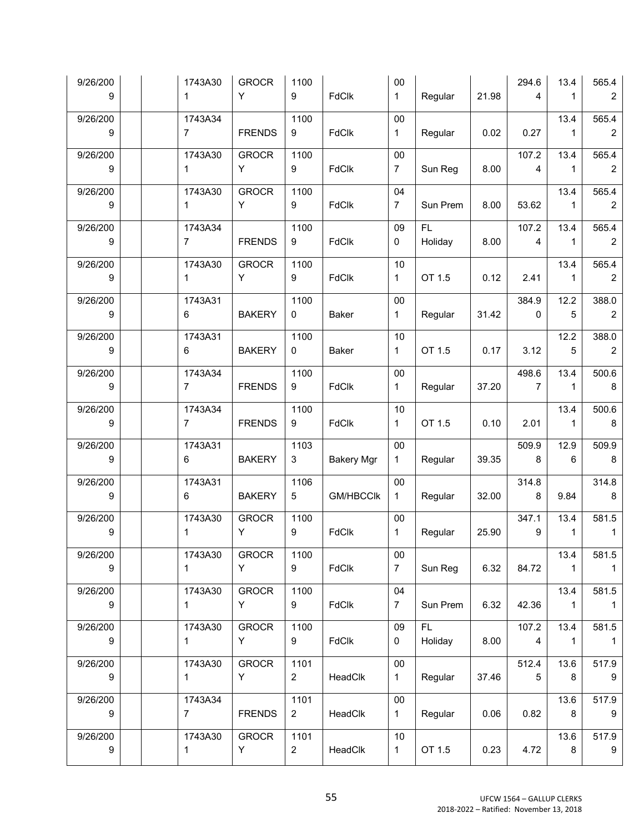| 9/26/200<br>9  |  | 1743A30<br>$\mathbf{1}$       | <b>GROCR</b><br>Y  | 1100<br>9              | <b>FdClk</b>      | $00\,$<br>$\mathbf{1}$   | Regular         | 21.98 | 294.6<br>$\overline{4}$ | 13.4<br>$\mathbf{1}$   | 565.4<br>$\overline{2}$ |
|----------------|--|-------------------------------|--------------------|------------------------|-------------------|--------------------------|-----------------|-------|-------------------------|------------------------|-------------------------|
| 9/26/200<br>9  |  | 1743A34<br>7 <sup>7</sup>     | <b>FRENDS</b>      | 1100<br>9              | <b>FdClk</b>      | $00\,$<br>$\mathbf{1}$   | Regular         | 0.02  | 0.27                    | 13.4<br>$\mathbf{1}$   | 565.4<br>2              |
|                |  |                               |                    |                        |                   |                          |                 |       |                         |                        |                         |
| 9/26/200<br>9  |  | 1743A30<br>$\mathbf{1}$       | <b>GROCR</b><br>Y. | 1100<br>9              | <b>FdClk</b>      | $00\,$<br>7 <sup>7</sup> | Sun Reg         | 8.00  | 107.2<br>$\overline{4}$ | 13.4<br>$\mathbf{1}$   | 565.4<br>$\overline{2}$ |
| 9/26/200<br>9  |  | 1743A30<br>$\mathbf{1}$       | <b>GROCR</b><br>Y  | 1100<br>9              | <b>FdClk</b>      | 04<br>$7\overline{ }$    | Sun Prem        | 8.00  | 53.62                   | 13.4<br>$\mathbf{1}$   | 565.4<br>$\overline{2}$ |
| 9/26/200<br>9  |  | 1743A34<br>7                  | <b>FRENDS</b>      | 1100<br>9              | <b>FdClk</b>      | 09<br>$\mathbf{0}$       | FL -<br>Holiday | 8.00  | 107.2<br>$\overline{4}$ | 13.4<br>$\mathbf{1}$   | 565.4<br>$\overline{2}$ |
| 9/26/200<br>9  |  | 1743A30<br>$1 \quad$          | <b>GROCR</b><br>Y  | 1100<br>9              | <b>FdClk</b>      | 10<br>$\mathbf{1}$       | OT 1.5          | 0.12  | 2.41                    | 13.4<br>$\mathbf{1}$   | 565.4<br>$\overline{2}$ |
| 9/26/200       |  | 1743A31                       |                    | 1100                   |                   | $00\,$                   |                 |       | 384.9                   | 12.2                   | 388.0                   |
| 9              |  | $6 \qquad$                    | <b>BAKERY</b>      | $\mathbf 0$            | Baker             | $\mathbf{1}$             | Regular         | 31.42 | $\mathbf 0$             | $5\overline{)}$        | $\overline{2}$          |
| 9/26/200<br>9  |  | 1743A31<br>$6 -$              | <b>BAKERY</b>      | 1100<br>$\mathbf 0$    | Baker             | 10<br>$\mathbf{1}$       | OT 1.5          | 0.17  | 3.12                    | 12.2<br>$\sqrt{5}$     | 388.0<br>$\overline{2}$ |
| 9/26/200<br>-9 |  | 1743A34<br>$7 \quad \text{ }$ | <b>FRENDS</b>      | 1100<br>9              | <b>FdClk</b>      | $00\,$<br>$\mathbf{1}$   | Regular         | 37.20 | 498.6<br>$\overline{7}$ | 13.4<br>$\mathbf{1}$   | 500.6<br>8              |
| 9/26/200<br>9  |  | 1743A34<br>$7 \quad \text{ }$ | <b>FRENDS</b>      | 1100<br>9              | <b>FdClk</b>      | 10<br>$\mathbf{1}$       | OT 1.5          | 0.10  | 2.01                    | 13.4<br>$\mathbf{1}$   | 500.6<br>8              |
| 9/26/200<br>9  |  | 1743A31<br>$6\overline{6}$    | <b>BAKERY</b>      | 1103<br>3 <sup>7</sup> | <b>Bakery Mgr</b> | $00\,$<br>$\mathbf{1}$   | Regular         | 39.35 | 509.9<br>8              | 12.9<br>$6\phantom{1}$ | 509.9<br>8              |
|                |  |                               |                    |                        |                   |                          |                 |       |                         |                        |                         |
| 9/26/200<br>9  |  | 1743A31<br>$6\overline{6}$    | <b>BAKERY</b>      | 1106<br>5 <sub>5</sub> | <b>GM/HBCClk</b>  | $00\,$<br>$\mathbf{1}$   | Regular         | 32.00 | 314.8<br>8              | 9.84                   | 314.8<br>8              |
| 9/26/200<br>9  |  | 1743A30<br>$\mathbf{1}$       | <b>GROCR</b><br>Y  | 1100<br>9              | <b>FdClk</b>      | $00\,$<br>$\mathbf{1}$   | Regular         | 25.90 | 347.1<br>$9^{\circ}$    | 13.4<br>$\mathbf{1}$   | 581.5<br>$\mathbf{1}$   |
| 9/26/200<br>9  |  | 1743A30<br>1.                 | <b>GROCR</b><br>Y  | 1100<br>9              | <b>FdClk</b>      | 00<br>7 <sup>1</sup>     | Sun Reg         | 6.32  | 84.72                   | 13.4<br>$\mathbf{1}$   | 581.5<br>1              |
|                |  |                               |                    |                        |                   |                          |                 |       |                         |                        |                         |
| 9/26/200<br>9  |  | 1743A30<br>$\mathbf{1}$       | <b>GROCR</b><br>Y  | 1100<br>9              | FdClk             | 04<br>7 <sup>1</sup>     | Sun Prem        | 6.32  | 42.36                   | 13.4<br>$\mathbf{1}$   | 581.5<br>$\mathbf{1}$   |
| 9/26/200<br>9  |  | 1743A30<br>$\mathbf 1$        | <b>GROCR</b><br>Y  | 1100<br>9              | <b>FdClk</b>      | 09<br>0                  | FL.<br>Holiday  | 8.00  | 107.2<br>$\overline{4}$ | 13.4<br>$\mathbf{1}$   | 581.5<br>$\mathbf{1}$   |
| 9/26/200<br>9  |  | 1743A30<br>$\mathbf{1}$       | <b>GROCR</b><br>Y  | 1101<br>$\overline{2}$ | HeadClk           | $00\,$<br>$\mathbf{1}$   | Regular         | 37.46 | 512.4<br>5              | 13.6<br>8              | 517.9<br>9              |
|                |  |                               |                    |                        |                   |                          |                 |       |                         |                        |                         |
| 9/26/200<br>9  |  | 1743A34<br>7 <sup>7</sup>     | <b>FRENDS</b>      | 1101<br>$\overline{2}$ | HeadClk           | 00<br>$\mathbf{1}$       | Regular         | 0.06  | 0.82                    | 13.6<br>8              | 517.9<br>9              |
| 9/26/200<br>9  |  | 1743A30<br>1                  | <b>GROCR</b><br>Y  | 1101<br>$\overline{2}$ | HeadClk           | 10<br>$\mathbf{1}$       | OT 1.5          | 0.23  | 4.72                    | 13.6<br>8              | 517.9<br>9              |
|                |  |                               |                    |                        |                   |                          |                 |       |                         |                        |                         |